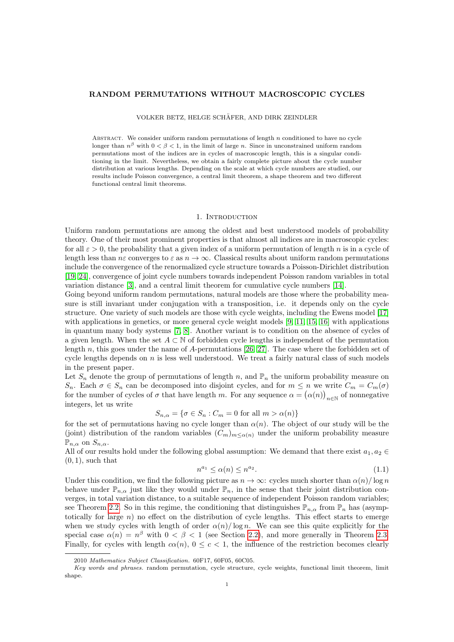# RANDOM PERMUTATIONS WITHOUT MACROSCOPIC CYCLES

VOLKER BETZ, HELGE SCHAFER, AND DIRK ZEINDLER ¨

ABSTRACT. We consider uniform random permutations of length  $n$  conditioned to have no cycle longer than  $n^{\beta}$  with  $0 < \beta < 1$ , in the limit of large n. Since in unconstrained uniform random permutations most of the indices are in cycles of macroscopic length, this is a singular conditioning in the limit. Nevertheless, we obtain a fairly complete picture about the cycle number distribution at various lengths. Depending on the scale at which cycle numbers are studied, our results include Poisson convergence, a central limit theorem, a shape theorem and two different functional central limit theorems.

## 1. INTRODUCTION

Uniform random permutations are among the oldest and best understood models of probability theory. One of their most prominent properties is that almost all indices are in macroscopic cycles: for all  $\varepsilon > 0$ , the probability that a given index of a uniform permutation of length n is in a cycle of length less than  $n\varepsilon$  converges to  $\varepsilon$  as  $n \to \infty$ . Classical results about uniform random permutations include the convergence of the renormalized cycle structure towards a Poisson-Dirichlet distribution [\[19,](#page-18-0) [24\]](#page-18-1), convergence of joint cycle numbers towards independent Poisson random variables in total variation distance [\[3\]](#page-18-2), and a central limit theorem for cumulative cycle numbers [\[14\]](#page-18-3).

Going beyond uniform random permutations, natural models are those where the probability measure is still invariant under conjugation with a transposition, i.e. it depends only on the cycle structure. One variety of such models are those with cycle weights, including the Ewens model [\[17\]](#page-18-4) with applications in genetics, or more general cycle weight models [\[9,](#page-18-5) [11,](#page-18-6) [15,](#page-18-7) [16\]](#page-18-8) with applications in quantum many body systems [\[7,](#page-18-9) [8\]](#page-18-10). Another variant is to condition on the absence of cycles of a given length. When the set  $A \subset \mathbb{N}$  of forbidden cycle lengths is independent of the permutation length  $n$ , this goes under the name of A-permutations [\[26,](#page-18-11) [27\]](#page-18-12). The case where the forbidden set of cycle lengths depends on  $n$  is less well understood. We treat a fairly natural class of such models in the present paper.

Let  $S_n$  denote the group of permutations of length n, and  $\mathbb{P}_n$  the uniform probability measure on  $S_n$ . Each  $\sigma \in S_n$  can be decomposed into disjoint cycles, and for  $m \leq n$  we write  $C_m = C_m(\sigma)$ for the number of cycles of  $\sigma$  that have length m. For any sequence  $\alpha = (\alpha(n))_{n \in \mathbb{N}}$  of nonnegative integers, let us write

$$
S_{n,\alpha} = \{ \sigma \in S_n : C_m = 0 \text{ for all } m > \alpha(n) \}
$$

for the set of permutations having no cycle longer than  $\alpha(n)$ . The object of our study will be the (joint) distribution of the random variables  $(C_m)_{m \leq \alpha(n)}$  under the uniform probability measure  $\mathbb{P}_{n,\alpha}$  on  $S_{n,\alpha}$ .

All of our results hold under the following global assumption: We demand that there exist  $a_1, a_2 \in$  $(0, 1)$ , such that

<span id="page-0-0"></span>
$$
n^{a_1} \le \alpha(n) \le n^{a_2}.\tag{1.1}
$$

Under this condition, we find the following picture as  $n \to \infty$ : cycles much shorter than  $\alpha(n)/\log n$ behave under  $\mathbb{P}_{n,\alpha}$  just like they would under  $\mathbb{P}_n$ , in the sense that their joint distribution converges, in total variation distance, to a suitable sequence of independent Poisson random variables; see Theorem [2.2.](#page-2-0) So in this regime, the conditioning that distinguishes  $\mathbb{P}_{n,\alpha}$  from  $\mathbb{P}_n$  has (asymptotically for large  $n$ ) no effect on the distribution of cycle lengths. This effect starts to emerge when we study cycles with length of order  $\alpha(n)/\log n$ . We can see this quite explicitly for the special case  $\alpha(n) = n^{\beta}$  with  $0 < \beta < 1$  (see Section [2.2\)](#page-1-0), and more generally in Theorem [2.3.](#page-3-0) Finally, for cycles with length  $c\alpha(n)$ ,  $0 \leq c < 1$ , the influence of the restriction becomes clearly

<sup>2010</sup> Mathematics Subject Classification. 60F17, 60F05, 60C05.

Key words and phrases. random permutation, cycle structure, cycle weights, functional limit theorem, limit shape.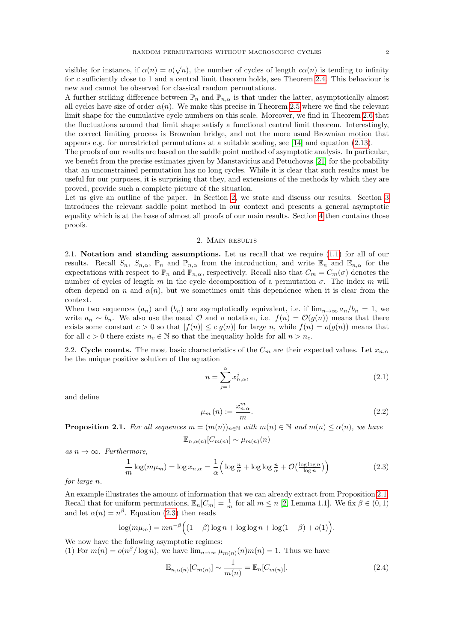visible; for instance, if  $\alpha(n) = o(\sqrt{n})$ , the number of cycles of length  $c\alpha(n)$  is tending to infinity for c sufficiently close to 1 and a central limit theorem holds, see Theorem [2.4.](#page-3-1) This behaviour is new and cannot be observed for classical random permutations.

A further striking difference between  $\mathbb{P}_n$  and  $\mathbb{P}_{n,\alpha}$  is that under the latter, asymptotically almost all cycles have size of order  $\alpha(n)$ . We make this precise in Theorem [2.5](#page-3-2) where we find the relevant limit shape for the cumulative cycle numbers on this scale. Moreover, we find in Theorem [2.6](#page-4-0) that the fluctuations around that limit shape satisfy a functional central limit theorem. Interestingly, the correct limiting process is Brownian bridge, and not the more usual Brownian motion that appears e.g. for unrestricted permutations at a suitable scaling, see [\[14\]](#page-18-3) and equation [\(2.13\)](#page-4-1).

The proofs of our results are based on the saddle point method of asymptotic analysis. In particular, we benefit from the precise estimates given by Manstavicius and Petuchovas [\[21\]](#page-18-13) for the probability that an unconstrained permutation has no long cycles. While it is clear that such results must be useful for our purposes, it is surprising that they, and extensions of the methods by which they are proved, provide such a complete picture of the situation.

Let us give an outline of the paper. In Section [2,](#page-1-1) we state and discuss our results. Section [3](#page-5-0) introduces the relevant saddle point method in our context and presents a general asymptotic equality which is at the base of almost all proofs of our main results. Section [4](#page-8-0) then contains those proofs.

# 2. MAIN RESULTS

<span id="page-1-1"></span>2.1. Notation and standing assumptions. Let us recall that we require [\(1.1\)](#page-0-0) for all of our results. Recall  $S_n$ ,  $S_{n,\alpha}$ ,  $\mathbb{P}_n$  and  $\mathbb{P}_{n,\alpha}$  from the introduction, and write  $\mathbb{E}_n$  and  $\mathbb{E}_{n,\alpha}$  for the expectations with respect to  $\mathbb{P}_n$  and  $\mathbb{P}_{n,\alpha}$ , respectively. Recall also that  $C_m = C_m(\sigma)$  denotes the number of cycles of length m in the cycle decomposition of a permutation  $\sigma$ . The index m will often depend on n and  $\alpha(n)$ , but we sometimes omit this dependence when it is clear from the context.

When two sequences  $(a_n)$  and  $(b_n)$  are asymptotically equivalent, i.e. if  $\lim_{n\to\infty} a_n/b_n = 1$ , we write  $a_n \sim b_n$ . We also use the usual  $\mathcal O$  and  $o$  notation, i.e.  $f(n) = \mathcal O(g(n))$  means that there exists some constant  $c > 0$  so that  $|f(n)| \leq c|g(n)|$  for large n, while  $f(n) = o(g(n))$  means that for all  $c > 0$  there exists  $n_c \in \mathbb{N}$  so that the inequality holds for all  $n > n_c$ .

<span id="page-1-0"></span>2.2. Cycle counts. The most basic characteristics of the  $C_m$  are their expected values. Let  $x_{n,\alpha}$ be the unique positive solution of the equation

<span id="page-1-5"></span><span id="page-1-4"></span>
$$
n = \sum_{j=1}^{\alpha} x_{n,\alpha}^j,
$$
\n(2.1)

and define

$$
\mu_m(n) := \frac{x_{n,\alpha}^m}{m}.\tag{2.2}
$$

<span id="page-1-2"></span>**Proposition 2.1.** For all sequences  $m = (m(n))_{n\in\mathbb{N}}$  with  $m(n) \in \mathbb{N}$  and  $m(n) \leq \alpha(n)$ , we have

$$
\mathbb{E}_{n,\alpha(n)}[C_{m(n)}] \sim \mu_{m(n)}(n)
$$

as  $n \to \infty$ . Furthermore,

<span id="page-1-3"></span>
$$
\frac{1}{m}\log(m\mu_m) = \log x_{n,\alpha} = \frac{1}{\alpha} \left( \log \frac{n}{\alpha} + \log \log \frac{n}{\alpha} + \mathcal{O}\left(\frac{\log \log n}{\log n}\right) \right) \tag{2.3}
$$

for large n.

An example illustrates the amount of information that we can already extract from Proposition [2.1.](#page-1-2) Recall that for uniform permutations,  $\mathbb{E}_n[C_m] = \frac{1}{m}$  for all  $m \le n$  [\[2,](#page-18-14) Lemma 1.1]. We fix  $\beta \in (0, 1)$ and let  $\alpha(n) = n^{\beta}$ . Equation [\(2.3\)](#page-1-3) then reads

$$
\log(m\mu_m) = mn^{-\beta} \Big( (1-\beta) \log n + \log \log n + \log(1-\beta) + o(1) \Big).
$$

We now have the following asymptotic regimes:

(1) For  $m(n) = o(n^{\beta}/\log n)$ , we have  $\lim_{n\to\infty} \mu_{m(n)}(n)m(n) = 1$ . Thus we have

$$
\mathbb{E}_{n,\alpha(n)}[C_{m(n)}] \sim \frac{1}{m(n)} = \mathbb{E}_n[C_{m(n)}].
$$
\n(2.4)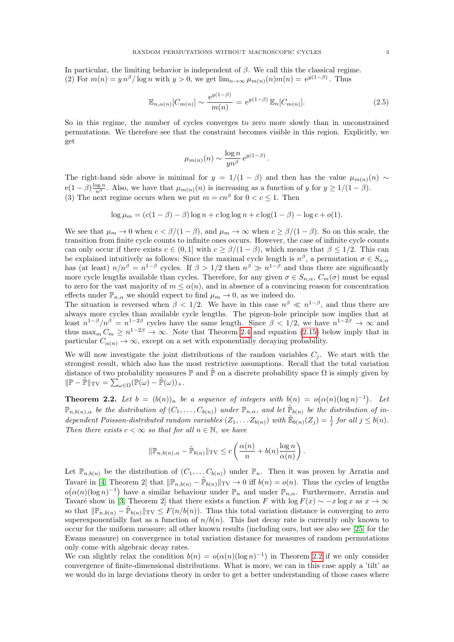In particular, the limiting behavior is independent of  $\beta$ . We call this the classical regime. (2) For  $m(n) = y n^{\beta} / \log n$  with  $y > 0$ , we get  $\lim_{n \to \infty} \mu_{m(n)}(n) m(n) = e^{y(1-\beta)}$ . Thus

$$
\mathbb{E}_{n,\alpha(n)}[C_{m(n)}] \sim \frac{e^{y(1-\beta)}}{m(n)} = e^{y(1-\beta)} \mathbb{E}_n[C_{m(n)}].
$$
\n(2.5)

So in this regime, the number of cycles converges to zero more slowly than in unconstrained permutations. We therefore see that the constraint becomes visible in this region. Explicitly, we get

$$
\mu_{m(n)}(n) \sim \frac{\log n}{yn^{\beta}} e^{y(1-\beta)}.
$$

The right-hand side above is minimal for  $y = 1/(1 - \beta)$  and then has the value  $\mu_{m(n)}(n) \sim$  $e(1-\beta)\frac{\log n}{n^{\beta}}$ . Also, we have that  $\mu_{m(n)}(n)$  is increasing as a function of y for  $y \ge 1/(1-\beta)$ . (3) The next regime occurs when we put  $m = cn^{\beta}$  for  $0 < c \leq 1$ . Then

$$
\log \mu_m = (c(1 - \beta) - \beta) \log n + c \log \log n + c \log(1 - \beta) - \log c + o(1).
$$

We see that  $\mu_m \to 0$  when  $c < \beta/(1-\beta)$ , and  $\mu_m \to \infty$  when  $c \ge \beta/(1-\beta)$ . So on this scale, the transition from finite cycle counts to infinite ones occurs. However, the case of infinite cycle counts can only occur if there exists  $c \in (0,1]$  with  $c \geq \beta/(1-\beta)$ , which means that  $\beta \leq 1/2$ . This can be explained intuitively as follows: Since the maximal cycle length is  $n^{\beta}$ , a permutation  $\sigma \in S_{n,\alpha}$ has (at least)  $n/n^{\beta} = n^{1-\beta}$  cycles. If  $\beta > 1/2$  then  $n^{\beta} \gg n^{1-\beta}$  and thus there are significantly more cycle lengths available than cycles. Therefore, for any given  $\sigma \in S_{n,\alpha}$ ,  $C_m(\sigma)$  must be equal to zero for the vast majority of  $m \leq \alpha(n)$ , and in absence of a convincing reason for concentration effects under  $\mathbb{P}_{n,\alpha}$  we should expect to find  $\mu_m \to 0$ , as we indeed do.

The situation is reversed when  $\beta < 1/2$ . We have in this case  $n^{\beta} \ll n^{1-\beta}$ , and thus there are always more cycles than available cycle lengths. The pigeon-hole principle now implies that at least  $n^{1-\beta}/n^{\beta} = n^{1-2\beta}$  cycles have the same length. Since  $\beta < 1/2$ , we have  $n^{1-2\beta} \to \infty$  and thus  $\max_m C_m \geq n^{1-2\beta} \to \infty$ . Note that Theorem [2.4](#page-3-1) and equation [\(2.15\)](#page-5-1) below imply that in particular  $C_{\alpha(n)} \to \infty$ , except on a set with exponentially decaying probability.

We will now investigate the joint distributions of the random variables  $C_i$ . We start with the strongest result, which also has the most restrictive assumptions. Recall that the total variation distance of two probability measures  $\mathbb P$  and  $\tilde{\mathbb P}$  on a discrete probability space  $\Omega$  is simply given by  $\|\mathbb{P}-\tilde{\mathbb{P}}\|_{\text{TV}} = \sum_{\omega \in \Omega} (\mathbb{P}(\omega) - \tilde{\mathbb{P}}(\omega))_+.$ 

<span id="page-2-0"></span>**Theorem 2.2.** Let  $b = (b(n))_n$  be a sequence of integers with  $b(n) = o(\alpha(n)(\log n)^{-1})$ . Let  $\mathbb{P}_{n,b(n),\alpha}$  be the distribution of  $(C_1,\ldots,C_{b(n)})$  under  $\mathbb{P}_{n,\alpha}$ , and let  $\tilde{\mathbb{P}}_{b(n)}$  be the distribution of independent Poisson-distributed random variables  $(Z_1, \ldots Z_{b(n)})$  with  $\mathbb{E}_{b(n)}(Z_j) = \frac{1}{j}$  for all  $j \leq b(n)$ . Then there exists  $c < \infty$  so that for all  $n \in \mathbb{N}$ , we have

$$
\|\mathbb{P}_{n,b(n),\alpha}-\tilde{\mathbb{P}}_{b(n)}\|_{\mathrm{TV}} \leq c \left(\frac{\alpha(n)}{n}+b(n)\frac{\log n}{\alpha(n)}\right).
$$

Let  $\mathbb{P}_{n,b(n)}$  be the distribution of  $(C_1,\ldots C_{b(n)})$  under  $\mathbb{P}_n$ . Then it was proven by Arratia and Tavaré in [\[4,](#page-18-15) Theorem 2] that  $\|\mathbb{P}_{n,b(n)} - \tilde{\mathbb{P}}_{b(n)}\|_{TV} \to 0$  iff  $b(n) = o(n)$ . Thus the cycles of lengths  $o(\alpha(n)(\log n)^{-1})$  have a similar behaviour under  $\mathbb{P}_n$  and under  $\mathbb{P}_{n,\alpha}$ . Furthermore, Arratia and Tavaré show in [\[3,](#page-18-2) Theorem 2] that there exists a function F with  $\log F(x) \sim -x \log x$  as  $x \to \infty$ so that  $\|\mathbb{P}_{n,b(n)} - \tilde{\mathbb{P}}_{b(n)}\|_{TV} \leq F(n/b(n)).$  Thus this total variation distance is converging to zero superexponentially fast as a function of  $n/b(n)$ . This fast decay rate is currently only known to occur for the uniform measure; all other known results (including ours, but see also see [\[25\]](#page-18-16) for the Ewans measure) on convergence in total variation distance for measures of random permutations only come with algebraic decay rates.

We can slightly relax the condition  $b(n) = o(\alpha(n)(\log n)^{-1})$  in Theorem [2.2](#page-2-0) if we only consider convergence of finite-dimensional distributions. What is more, we can in this case apply a 'tilt' as we would do in large deviations theory in order to get a better understanding of those cases where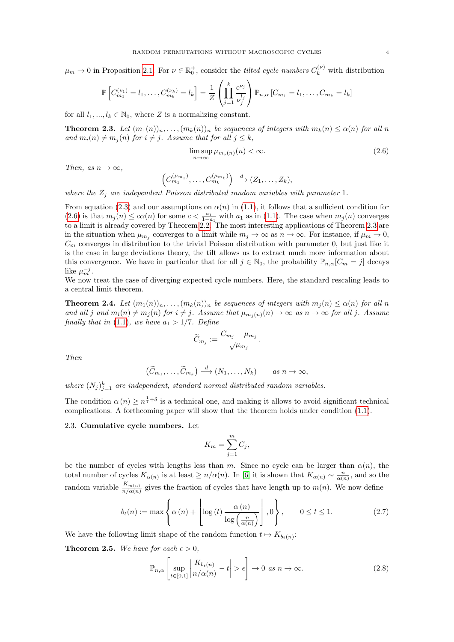$\mu_m \to 0$  in Proposition [2.1.](#page-1-2) For  $\nu \in \mathbb{R}^+_0$ , consider the *tilted cycle numbers*  $C_k^{(\nu)}$  with distribution

$$
\mathbb{P}\left[C_{m_1}^{(\nu_1)} = l_1, \dots, C_{m_k}^{(\nu_k)} = l_k\right] = \frac{1}{Z} \left(\prod_{j=1}^k \frac{e^{\nu_j}}{\nu_j^{l_j}}\right) \mathbb{P}_{n,\alpha} \left[C_{m_1} = l_1, \dots, C_{m_k} = l_k\right]
$$

for all  $l_1, ..., l_k \in \mathbb{N}_0$ , where Z is a normalizing constant.

<span id="page-3-0"></span>**Theorem 2.3.** Let  $(m_1(n))_n, \ldots, (m_k(n))_n$  be sequences of integers with  $m_k(n) \leq \alpha(n)$  for all n and  $m_i(n) \neq m_j(n)$  for  $i \neq j$ . Assume that for all  $j \leq k$ ,

<span id="page-3-3"></span>
$$
\limsup_{n \to \infty} \mu_{m_j(n)}(n) < \infty. \tag{2.6}
$$

Then, as  $n \to \infty$ ,

$$
\left(C_{m_1}^{(\mu_{m_1})},\ldots,C_{m_k}^{(\mu_{m_k})}\right) \stackrel{d}{\longrightarrow} (Z_1,\ldots,Z_k),
$$

where the  $Z_j$  are independent Poisson distributed random variables with parameter 1.

From equation [\(2.3\)](#page-1-3) and our assumptions on  $\alpha(n)$  in [\(1.1\)](#page-0-0), it follows that a sufficient condition for [\(2.6\)](#page-3-3) is that  $m_j(n) \leq c\alpha(n)$  for some  $c < \frac{a_1}{1-a_1}$  with  $a_1$  as in [\(1.1\)](#page-0-0). The case when  $m_j(n)$  converges to a limit is already covered by Theorem [2.2.](#page-2-0) The most interesting applications of Theorem [2.3](#page-3-0) are in the situation when  $\mu_{m_j}$  converges to a limit while  $m_j \to \infty$  as  $n \to \infty$ . For instance, if  $\mu_m \to 0$ ,  $C_m$  converges in distribution to the trivial Poisson distribution with parameter 0, but just like it is the case in large deviations theory, the tilt allows us to extract much more information about this convergence. We have in particular that for all  $j \in \mathbb{N}_0$ , the probability  $\mathbb{P}_{n,\alpha}[C_m = j]$  decays like  $\mu_m^{-j}$ .

We now treat the case of diverging expected cycle numbers. Here, the standard rescaling leads to a central limit theorem.

<span id="page-3-1"></span>**Theorem 2.4.** Let  $(m_1(n))_n, \ldots, (m_k(n))_n$  be sequences of integers with  $m_j(n) \leq \alpha(n)$  for all n and all j and  $m_i(n) \neq m_j(n)$  for  $i \neq j$ . Assume that  $\mu_{m_i(n)}(n) \to \infty$  as  $n \to \infty$  for all j. Assume finally that in [\(1.1\)](#page-0-0), we have  $a_1 > 1/7$ . Define

$$
\widetilde{C}_{m_j}:=\frac{C_{m_j}-\mu_{m_j}}{\sqrt{\mu_{m_j}}}.
$$

Then

$$
(\widetilde{C}_{m_1},\ldots,\widetilde{C}_{m_k})\stackrel{d}{\longrightarrow}(N_1,\ldots,N_k) \qquad as\ n\to\infty,
$$

where  $(N_j)_{j=1}^k$  are independent, standard normal distributed random variables.

The condition  $\alpha(n) \geq n^{\frac{1}{7}+\delta}$  is a technical one, and making it allows to avoid significant technical complications. A forthcoming paper will show that the theorem holds under condition [\(1.1\)](#page-0-0).

## 2.3. Cumulative cycle numbers. Let

$$
K_m = \sum_{j=1}^m C_j,
$$

be the number of cycles with lengths less than m. Since no cycle can be larger than  $\alpha(n)$ , the total number of cycles  $K_{\alpha(n)}$  is at least  $\geq n/\alpha(n)$ . In [\[6\]](#page-18-17) it is shown that  $K_{\alpha(n)} \sim \frac{n}{\alpha(n)}$ , and so the random variable  $\frac{K_{m(n)}}{n/\alpha(n)}$  gives the fraction of cycles that have length up to  $m(n)$ . We now define

<span id="page-3-4"></span>
$$
b_t(n) := \max\left\{\alpha\left(n\right) + \left\lfloor\log\left(t\right)\frac{\alpha\left(n\right)}{\log\left(\frac{n}{\alpha\left(n\right)}\right)}\right\rfloor, 0\right\}, \qquad 0 \le t \le 1. \tag{2.7}
$$

We have the following limit shape of the random function  $t \mapsto K_{b_t(n)}$ :

<span id="page-3-2"></span>**Theorem 2.5.** We have for each  $\epsilon > 0$ ,

$$
\mathbb{P}_{n,\alpha}\left[\sup_{t\in[0,1]} \left|\frac{K_{b_t(n)}}{n/\alpha(n)} - t\right| > \epsilon\right] \to 0 \text{ as } n \to \infty. \tag{2.8}
$$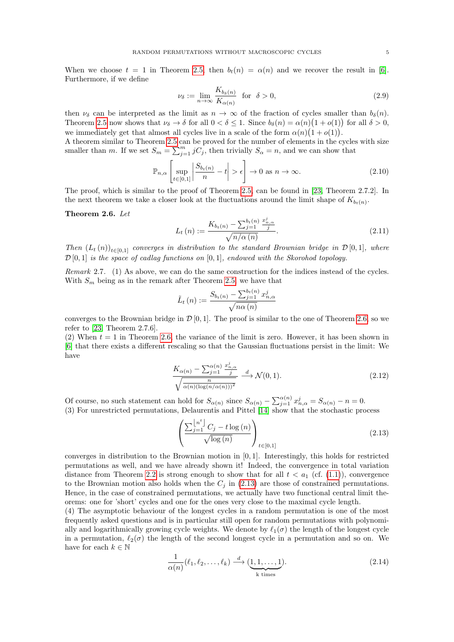When we choose  $t = 1$  in Theorem [2.5,](#page-3-2) then  $b_t(n) = \alpha(n)$  and we recover the result in [\[6\]](#page-18-17). Furthermore, if we define

$$
\nu_{\delta} := \lim_{n \to \infty} \frac{K_{b_{\delta}(n)}}{K_{\alpha(n)}} \quad \text{for} \quad \delta > 0,
$$
\n(2.9)

then  $\nu_{\delta}$  can be interpreted as the limit as  $n \to \infty$  of the fraction of cycles smaller than  $b_{\delta}(n)$ . Theorem [2.5](#page-3-2) now shows that  $\nu_{\delta} \to \delta$  for all  $0 < \delta \leq 1$ . Since  $b_{\delta}(n) = \alpha(n)(1 + o(1))$  for all  $\delta > 0$ , we immediately get that almost all cycles live in a scale of the form  $\alpha(n)(1 + o(1))$ .

A theorem similar to Theorem [2.5](#page-3-2) can be proved for the number of elements in the cycles with size smaller than m. If we set  $S_m = \sum_{j=1}^m j \overline{C_j}$ , then trivially  $S_\alpha = n$ , and we can show that

$$
\mathbb{P}_{n,\alpha}\left[\sup_{t\in[0,1]} \left|\frac{S_{b_t(n)}}{n} - t\right| > \epsilon\right] \to 0 \text{ as } n \to \infty. \tag{2.10}
$$

The proof, which is similar to the proof of Theorem [2.5,](#page-3-2) can be found in [\[23,](#page-18-18) Theorem 2.7.2]. In the next theorem we take a closer look at the fluctuations around the limit shape of  $K_{b_t(n)}$ .

<span id="page-4-0"></span>Theorem 2.6. Let

<span id="page-4-3"></span><span id="page-4-2"></span>
$$
L_{t}(n) := \frac{K_{b_{t}(n)} - \sum_{j=1}^{b_{t}(n)} \frac{x_{n,\alpha}^{j}}{j}}{\sqrt{n/\alpha(n)}}.
$$
\n(2.11)

Then  $(L_t(n))_{t\in[0,1]}$  converges in distribution to the standard Brownian bridge in  $\mathcal{D}[0,1]$ , where  $\mathcal{D}[0,1]$  is the space of cadlag functions on  $[0,1]$ , endowed with the Skorohod topology.

Remark 2.7. (1) As above, we can do the same construction for the indices instead of the cycles. With  $S_m$  being as in the remark after Theorem [2.5,](#page-3-2) we have that

$$
\tilde{L}_{t}(n) := \frac{S_{b_t(n)} - \sum_{j=1}^{b_t(n)} x_{n,\alpha}^j}{\sqrt{n\alpha(n)}}
$$

converges to the Brownian bridge in  $\mathcal{D}[0, 1]$ . The proof is similar to the one of Theorem [2.6,](#page-4-0) so we refer to [\[23,](#page-18-18) Theorem 2.7.6].

(2) When  $t = 1$  in Theorem [2.6,](#page-4-0) the variance of the limit is zero. However, it has been shown in [\[6\]](#page-18-17) that there exists a different rescaling so that the Gaussian fluctuations persist in the limit: We have

$$
\frac{K_{\alpha(n)} - \sum_{j=1}^{\alpha(n)} \frac{x_{n,\alpha}^j}{j}}{\sqrt{\frac{n}{\alpha(n)(\log(n/\alpha(n)))^2}}} \xrightarrow{d} \mathcal{N}(0,1).
$$
\n(2.12)

Of course, no such statement can hold for  $S_{\alpha(n)}$  since  $S_{\alpha(n)} - \sum_{j=1}^{\alpha(n)} x_{n,\alpha}^j = S_{\alpha(n)} - n = 0$ . (3) For unrestricted permutations, Delaurentis and Pittel [\[14\]](#page-18-3) show that the stochastic process

<span id="page-4-1"></span>
$$
\left(\frac{\sum_{j=1}^{\lfloor n^t \rfloor} C_j - t \log(n)}{\sqrt{\log(n)}}\right)_{t \in [0,1]}
$$
\n(2.13)

converges in distribution to the Brownian motion in [0, 1]. Interestingly, this holds for restricted permutations as well, and we have already shown it! Indeed, the convergence in total variation distance from Theorem [2.2](#page-2-0) is strong enough to show that for all  $t < a_1$  (cf. [\(1.1\)](#page-0-0)), convergence to the Brownian motion also holds when the  $C_j$  in [\(2.13\)](#page-4-1) are those of constrained permutations. Hence, in the case of constrained permutations, we actually have two functional central limit theorems: one for 'short' cycles and one for the ones very close to the maximal cycle length.

(4) The asymptotic behaviour of the longest cycles in a random permutation is one of the most frequently asked questions and is in particular still open for random permutations with polynomially and logarithmically growing cycle weights. We denote by  $\ell_1(\sigma)$  the length of the longest cycle in a permutation,  $\ell_2(\sigma)$  the length of the second longest cycle in a permutation and so on. We have for each  $k \in \mathbb{N}$ 

$$
\frac{1}{\alpha(n)}(\ell_1, \ell_2, \dots, \ell_k) \stackrel{d}{\longrightarrow} (\underbrace{1, 1, \dots, 1}_{k \text{ times}}).
$$
\n(2.14)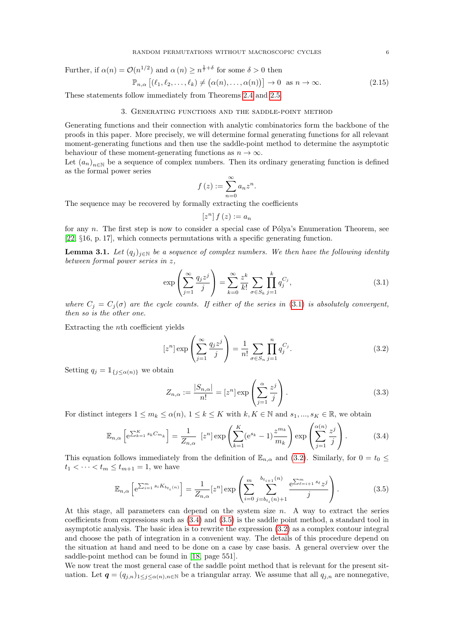Further, if  $\alpha(n) = \mathcal{O}(n^{1/2})$  and  $\alpha(n) \geq n^{\frac{1}{7}+\delta}$  for some  $\delta > 0$  then

$$
\mathbb{P}_{n,\alpha}\left[\left(\ell_1,\ell_2,\ldots,\ell_k\right)\neq\left(\alpha(n),\ldots,\alpha(n)\right)\right]\to 0 \text{ as } n\to\infty. \tag{2.15}
$$

<span id="page-5-0"></span>These statements follow immediately from Theorems [2.4](#page-3-1) and [2.5.](#page-3-2)

# 3. Generating functions and the saddle-point method

Generating functions and their connection with analytic combinatorics form the backbone of the proofs in this paper. More precisely, we will determine formal generating functions for all relevant moment-generating functions and then use the saddle-point method to determine the asymptotic behaviour of these moment-generating functions as  $n \to \infty$ .

Let  $(a_n)_{n\in\mathbb{N}}$  be a sequence of complex numbers. Then its ordinary generating function is defined as the formal power series

<span id="page-5-1"></span>
$$
f(z) := \sum_{n=0}^{\infty} a_n z^n.
$$

The sequence may be recovered by formally extracting the coefficients

$$
\left[z^{n}\right]f\left(z\right) := a_{n}
$$

for any n. The first step is now to consider a special case of Pólya's Enumeration Theorem, see [\[22,](#page-18-19) §16, p. 17], which connects permutations with a specific generating function.

**Lemma 3.1.** Let  $(q_j)_{j\in\mathbb{N}}$  be a sequence of complex numbers. We then have the following identity between formal power series in z,

<span id="page-5-2"></span>
$$
\exp\left(\sum_{j=1}^{\infty} \frac{q_j z^j}{j}\right) = \sum_{k=0}^{\infty} \frac{z^k}{k!} \sum_{\sigma \in S_k} \prod_{j=1}^k q_j^{C_j},\tag{3.1}
$$

where  $C_j = C_j(\sigma)$  are the cycle counts. If either of the series in [\(3.1\)](#page-5-2) is absolutely convergent, then so is the other one.

Extracting the nth coefficient yields

<span id="page-5-3"></span>
$$
[z^n] \exp\left(\sum_{j=1}^{\infty} \frac{q_j z^j}{j}\right) = \frac{1}{n!} \sum_{\sigma \in S_n} \prod_{j=1}^n q_j^{C_j}.
$$
 (3.2)

Setting  $q_j = \mathbb{1}_{\{j \leq \alpha(n)\}}$  we obtain

<span id="page-5-6"></span>
$$
Z_{n,\alpha} := \frac{|S_{n,\alpha}|}{n!} = [z^n] \exp\left(\sum_{j=1}^{\alpha} \frac{z^j}{j}\right).
$$
\n(3.3)

For distinct integers  $1 \le m_k \le \alpha(n)$ ,  $1 \le k \le K$  with  $k, K \in \mathbb{N}$  and  $s_1, ..., s_K \in \mathbb{R}$ , we obtain

<span id="page-5-4"></span>
$$
\mathbb{E}_{n,\alpha} \left[ e^{\sum_{k=1}^K s_k C_{m_k}} \right] = \frac{1}{Z_{n,\alpha}} \left[ z^n \right] \exp \left( \sum_{k=1}^K (e^{s_k} - 1) \frac{z^{m_k}}{m_k} \right) \exp \left( \sum_{j=1}^{\alpha(n)} \frac{z^j}{j} \right). \tag{3.4}
$$

This equation follows immediately from the definition of  $\mathbb{E}_{n,\alpha}$  and [\(3.2\)](#page-5-3). Similarly, for  $0 = t_0 \leq$  $t_1 < \cdots < t_m \le t_{m+1} = 1$ , we have

<span id="page-5-5"></span>
$$
\mathbb{E}_{n,\alpha} \left[ e^{\sum_{i=1}^{m} s_i K_{b_{t_i}(n)}} \right] = \frac{1}{Z_{n,\alpha}} [z^n] \exp \left( \sum_{i=0}^m \sum_{j=b_{t_i}(n)+1}^{b_{t_{i+1}}(n)} \frac{e^{\sum_{\ell=i+1}^m s_\ell} z^j}{j} \right).
$$
(3.5)

At this stage, all parameters can depend on the system size  $n$ . A way to extract the series coefficients from expressions such as [\(3.4\)](#page-5-4) and [\(3.5\)](#page-5-5) is the saddle point method, a standard tool in asymptotic analysis. The basic idea is to rewrite the expression [\(3.2\)](#page-5-3) as a complex contour integral and choose the path of integration in a convenient way. The details of this procedure depend on the situation at hand and need to be done on a case by case basis. A general overview over the saddle-point method can be found in [\[18,](#page-18-20) page 551].

We now treat the most general case of the saddle point method that is relevant for the present situation. Let  $q = (q_{j,n})_{1 \leq j \leq \alpha(n), n \in \mathbb{N}}$  be a triangular array. We assume that all  $q_{j,n}$  are nonnegative,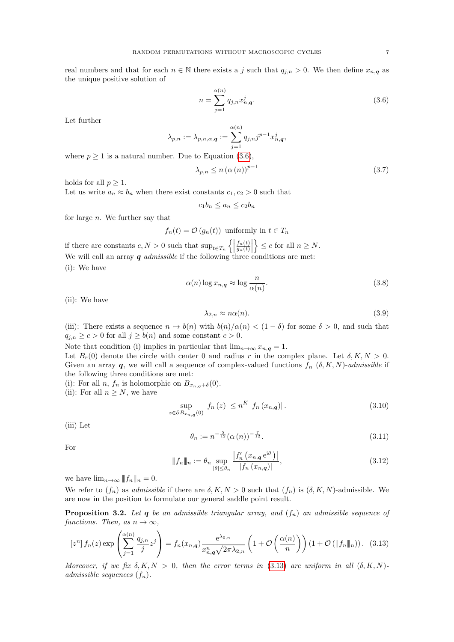real numbers and that for each  $n \in \mathbb{N}$  there exists a j such that  $q_{j,n} > 0$ . We then define  $x_{n,q}$  as the unique positive solution of

<span id="page-6-0"></span>
$$
n = \sum_{j=1}^{\alpha(n)} q_{j,n} x_{n,\mathbf{q}}^j.
$$
 (3.6)

Let further

$$
\lambda_{p,n}:=\lambda_{p,n,\alpha,\boldsymbol{q}}:=\sum_{j=1}^{\alpha(n)}q_{j,n}j^{p-1}x_{n,\boldsymbol{q}}^j,
$$

where  $p \geq 1$  is a natural number. Due to Equation [\(3.6\)](#page-6-0),

<span id="page-6-3"></span>
$$
\lambda_{p,n} \le n \left( \alpha \left( n \right) \right)^{p-1} \tag{3.7}
$$

holds for all  $p \geq 1$ .

Let us write  $a_n \approx b_n$  when there exist constants  $c_1, c_2 > 0$  such that

$$
c_1 b_n \le a_n \le c_2 b_n
$$

for large  $n$ . We further say that

$$
f_n(t) = \mathcal{O}(g_n(t))
$$
 uniformly in  $t \in T_n$ 

if there are constants  $c, N > 0$  such that  $\sup_{t \in T_n} \left\{ \left| \begin{array}{c} 0 & \text{if } t \leq T_n \end{array} \right\} \right\}$  $f_n(t)$  $\frac{f_n(t)}{g_n(t)}\Bigg|$  $\} \leq c$  for all  $n \geq N$ . We will call an array  $q$  *admissible* if the following three conditions are met: (i): We have

$$
\alpha(n) \log x_{n,\mathbf{q}} \approx \log \frac{n}{\alpha(n)}.\tag{3.8}
$$

(ii): We have

<span id="page-6-6"></span><span id="page-6-5"></span>
$$
\lambda_{2,n} \approx n\alpha(n). \tag{3.9}
$$

(iii): There exists a sequence  $n \mapsto b(n)$  with  $b(n)/\alpha(n) < (1-\delta)$  for some  $\delta > 0$ , and such that  $q_{j,n} \ge c > 0$  for all  $j \ge b(n)$  and some constant  $c > 0$ .

Note that condition (i) implies in particular that  $\lim_{n\to\infty} x_{n,q} = 1$ .

Let  $B_r(0)$  denote the circle with center 0 and radius r in the complex plane. Let  $\delta, K, N > 0$ . Given an array q, we will call a sequence of complex-valued functions  $f_n$   $(\delta, K, N)$ -admissible if the following three conditions are met:

(i): For all n,  $f_n$  is holomorphic on  $B_{x_n,q+\delta}(0)$ .

(ii): For all  $n \geq N$ , we have

<span id="page-6-7"></span>
$$
\sup_{z \in \partial B_{x_{n,q}}(0)} |f_n(z)| \le n^{K} |f_n(x_{n,q})|.
$$
\n(3.10)

(iii) Let

<span id="page-6-2"></span><span id="page-6-1"></span>
$$
\theta_n := n^{-\frac{5}{12}} (\alpha(n))^{-\frac{7}{12}}.
$$
\n(3.11)

For

<span id="page-6-4"></span>
$$
\|f_n\|_n := \theta_n \sup_{|\theta| \le \theta_n} \frac{|f'_n(x_{n,\mathbf{q}} e^{i\theta})|}{|f_n(x_{n,\mathbf{q}})|},
$$
\n(3.12)

we have  $\lim_{n\to\infty} ||f_n||_n = 0.$ 

We refer to  $(f_n)$  as *admissible* if there are  $\delta, K, N > 0$  such that  $(f_n)$  is  $(\delta, K, N)$ -admissible. We are now in the position to formulate our general saddle point result.

<span id="page-6-8"></span>**Proposition 3.2.** Let q be an admissible triangular array, and  $(f_n)$  an admissible sequence of functions. Then, as  $n \to \infty$ ,

$$
\left[z^{n}\right]f_{n}(z)\exp\left(\sum_{j=1}^{\alpha(n)}\frac{q_{j,n}}{j}z^{j}\right) = f_{n}(x_{n,q})\frac{e^{\lambda_{0,n}}}{x_{n,q}^{n}\sqrt{2\pi\lambda_{2,n}}}\left(1+\mathcal{O}\left(\frac{\alpha(n)}{n}\right)\right)\left(1+\mathcal{O}\left(\|f_{n}\|_{n}\right)\right). \tag{3.13}
$$

Moreover, if we fix  $\delta, K, N > 0$ , then the error terms in [\(3.13\)](#page-6-1) are uniform in all  $(\delta, K, N)$ . admissible sequences  $(f_n)$ .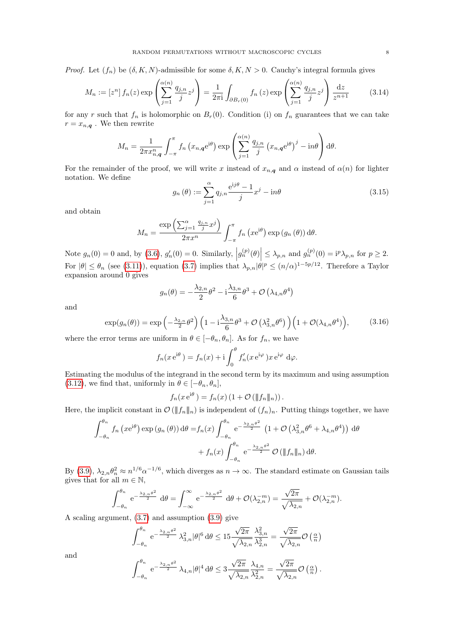*Proof.* Let  $(f_n)$  be  $(\delta, K, N)$ -admissible for some  $\delta, K, N > 0$ . Cauchy's integral formula gives

$$
M_n := \left[z^n\right] f_n(z) \exp\left(\sum_{j=1}^{\alpha(n)} \frac{q_{j,n}}{j} z^j\right) = \frac{1}{2\pi i} \int_{\partial B_r(0)} f_n(z) \exp\left(\sum_{j=1}^{\alpha(n)} \frac{q_{j,n}}{j} z^j\right) \frac{dz}{z^{n+1}} \tag{3.14}
$$

for any r such that  $f_n$  is holomorphic on  $B_r(0)$ . Condition (i) on  $f_n$  guarantees that we can take  $r = x_{n,q}$ . We then rewrite

$$
M_n = \frac{1}{2\pi x_{n,\mathbf{q}}^n} \int_{-\pi}^{\pi} f_n(x_{n,\mathbf{q}} e^{i\theta}) \exp\left(\sum_{j=1}^{\alpha(n)} \frac{q_{j,n}}{j} (x_{n,\mathbf{q}} e^{i\theta})^j - i n \theta\right) d\theta.
$$

For the remainder of the proof, we will write x instead of  $x_{n,q}$  and  $\alpha$  instead of  $\alpha(n)$  for lighter notation. We define

$$
g_n(\theta) := \sum_{j=1}^{\alpha} q_{j,n} \frac{e^{ij\theta} - 1}{j} x^j - i n \theta \tag{3.15}
$$

and obtain

$$
M_n = \frac{\exp\left(\sum_{j=1}^{\alpha} \frac{q_{j,n}}{j} x^j\right)}{2\pi x^n} \int_{-\pi}^{\pi} f_n\left(x e^{i\theta}\right) \exp\left(g_n\left(\theta\right)\right) d\theta.
$$

Note  $g_n(0) = 0$  and, by  $(3.6)$ ,  $g'_n(0) = 0$ . Similarly,  $|g_n^{(p)}(\theta)| \leq \lambda_{p,n}$  and  $g_n^{(p)}(0) = i^p \lambda_{p,n}$  for  $p \geq 2$ . For  $|\theta| \leq \theta_n$  (see [\(3.11\)](#page-6-2)), equation [\(3.7\)](#page-6-3) implies that  $\lambda_{p,n} |\theta|^p \leq (n/\alpha)^{1-5p/12}$ . Therefore a Taylor expansion around 0 gives

<span id="page-7-0"></span>
$$
g_n(\theta) = -\frac{\lambda_{2,n}}{2}\theta^2 - i\frac{\lambda_{3,n}}{6}\theta^3 + \mathcal{O}\left(\lambda_{4,n}\theta^4\right)
$$

and

$$
\exp(g_n(\theta)) = \exp\left(-\frac{\lambda_{2,n}}{2}\theta^2\right) \left(1 - i\frac{\lambda_{3,n}}{6}\theta^3 + \mathcal{O}\left(\lambda_{3,n}^2\theta^6\right)\right) \left(1 + \mathcal{O}(\lambda_{4,n}\theta^4)\right),\tag{3.16}
$$

where the error terms are uniform in  $\theta \in [-\theta_n, \theta_n]$ . As for  $f_n$ , we have

$$
f_n(x e^{i\theta}) = f_n(x) + i \int_0^{\theta} f'_n(x e^{i\varphi}) x e^{i\varphi} d\varphi.
$$

Estimating the modulus of the integrand in the second term by its maximum and using assumption [\(3.12\)](#page-6-4), we find that, uniformly in  $\theta \in [-\theta_n, \theta_n]$ ,

$$
f_n(x e^{i\theta}) = f_n(x) (1 + \mathcal{O}(\|f_n\|_n)).
$$

Here, the implicit constant in  $\mathcal{O}(\|f_n\|_n)$  is independent of  $(f_n)_n$ . Putting things together, we have

$$
\int_{-\theta_n}^{\theta_n} f_n(x e^{i\theta}) \exp(g_n(\theta)) d\theta = f_n(x) \int_{-\theta_n}^{\theta_n} e^{-\frac{\lambda_{2,n} \theta^2}{2}} \left(1 + \mathcal{O}\left(\lambda_{3,n}^2 \theta^6 + \lambda_{4,n} \theta^4\right)\right) d\theta
$$

$$
+ f_n(x) \int_{-\theta_n}^{\theta_n} e^{-\frac{\lambda_{2,n} \theta^2}{2}} \mathcal{O}\left(\|f_n\|_n\right) d\theta.
$$

By [\(3.9\)](#page-6-5),  $\lambda_{2,n}\theta_n^2 \approx n^{1/6}\alpha^{-1/6}$ , which diverges as  $n \to \infty$ . The standard estimate on Gaussian tails gives that for all  $m \in \mathbb{N}$ ,

$$
\int_{-\theta_n}^{\theta_n} e^{-\frac{\lambda_{2,n}\theta^2}{2}} d\theta = \int_{-\infty}^{\infty} e^{-\frac{\lambda_{2,n}\theta^2}{2}} d\theta + \mathcal{O}(\lambda_{2,n}^{-m}) = \frac{\sqrt{2\pi}}{\sqrt{\lambda_{2,n}}} + \mathcal{O}(\lambda_{2,n}^{-m}).
$$

A scaling argument, [\(3.7\)](#page-6-3) and assumption [\(3.9\)](#page-6-5) give

$$
\int_{-\theta_n}^{\theta_n} e^{-\frac{\lambda_{2,n} \theta^2}{2}} \lambda_{3,n}^2 |\theta|^6 d\theta \le 15 \frac{\sqrt{2\pi}}{\sqrt{\lambda_{2,n}}} \frac{\lambda_{3,n}^2}{\lambda_{2,n}^3} = \frac{\sqrt{2\pi}}{\sqrt{\lambda_{2,n}}} \mathcal{O}\left(\frac{\alpha}{n}\right)
$$

and

$$
\int_{-\theta_n}^{\theta_n} e^{-\frac{\lambda_{2,n} \theta^2}{2}} \lambda_{4,n} |\theta|^4 d\theta \leq 3 \frac{\sqrt{2\pi}}{\sqrt{\lambda_{2,n}}} \frac{\lambda_{4,n}}{\lambda_{2,n}^2} = \frac{\sqrt{2\pi}}{\sqrt{\lambda_{2,n}}} \mathcal{O}\left(\frac{\alpha}{n}\right).
$$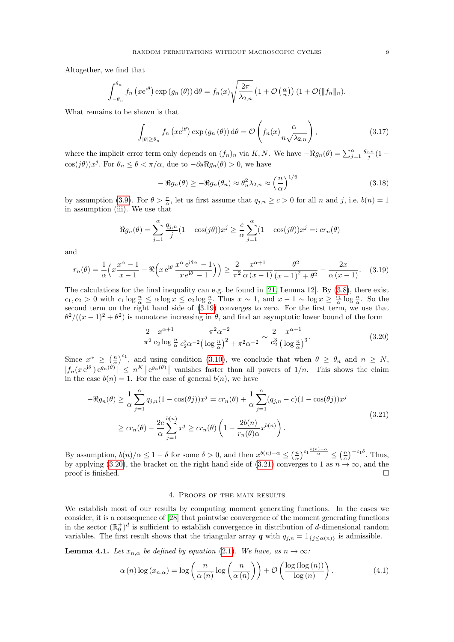Altogether, we find that

$$
\int_{-\theta_n}^{\theta_n} f_n\left(x e^{i\theta}\right) \exp\left(g_n\left(\theta\right)\right) d\theta = f_n(x) \sqrt{\frac{2\pi}{\lambda_{2,n}}}\left(1 + \mathcal{O}\left(\frac{\alpha}{n}\right)\right) \left(1 + \mathcal{O}\left(\|f_n\|_n\right)\right).
$$

What remains to be shown is that

$$
\int_{|\theta| \ge \theta_n} f_n\left(x e^{i\theta}\right) \exp\left(g_n\left(\theta\right)\right) d\theta = \mathcal{O}\left(f_n(x) \frac{\alpha}{n\sqrt{\lambda_{2,n}}}\right),\tag{3.17}
$$

where the implicit error term only depends on  $(f_n)_n$  via K, N. We have  $-\Re g_n(\theta) = \sum_{j=1}^{\alpha} \frac{q_{j,n}}{j} (1-\theta)^j$  $\cos(j\theta))x^j$ . For  $\theta_n \leq \theta < \pi/\alpha$ , due to  $-\partial_\theta \Re g_n(\theta) > 0$ , we have

$$
-\Re g_n(\theta) \ge -\Re g_n(\theta_n) \approx \theta_n^2 \lambda_{2,n} \approx \left(\frac{n}{\alpha}\right)^{1/6} \tag{3.18}
$$

by assumption [\(3.9\)](#page-6-5). For  $\theta > \frac{\pi}{\alpha}$ , let us first assume that  $q_{j,n} \ge c > 0$  for all n and j, i.e.  $b(n) = 1$ in assumption (iii). We use that

$$
-\Re g_n(\theta) = \sum_{j=1}^{\alpha} \frac{q_{j,n}}{j} (1 - \cos(j\theta)) x^j \ge \frac{c}{\alpha} \sum_{j=1}^{\alpha} (1 - \cos(j\theta)) x^j =: cr_n(\theta)
$$

and

<span id="page-8-1"></span>
$$
r_n(\theta) = \frac{1}{\alpha} \left( x \frac{x^{\alpha} - 1}{x - 1} - \Re \left( x e^{i\theta} \frac{x^{\alpha} e^{i\theta \alpha} - 1}{x e^{i\theta} - 1} \right) \right) \ge \frac{2}{\pi^2} \frac{x^{\alpha + 1}}{\alpha (x - 1)} \frac{\theta^2}{\left( x - 1 \right)^2 + \theta^2} - \frac{2x}{\alpha (x - 1)}.
$$
 (3.19)

The calculations for the final inequality can e.g. be found in [\[21,](#page-18-13) Lemma 12]. By [\(3.8\)](#page-6-6), there exist  $c_1, c_2 > 0$  with  $c_1 \log \frac{n}{\alpha} \le \alpha \log x \le c_2 \log \frac{n}{\alpha}$ . Thus  $x \sim 1$ , and  $x - 1 \sim \log x \ge \frac{c_1}{\alpha} \log \frac{n}{\alpha}$ . So the second term on the right hand side of [\(3.19\)](#page-8-1) converges to zero. For the first term, we use that  $\theta^2/((x-1)^2+\theta^2)$  is monotone increasing in  $\theta$ , and find an asymptotic lower bound of the form

<span id="page-8-2"></span>
$$
\frac{2}{\pi^2} \frac{x^{\alpha+1}}{c_2 \log \frac{n}{\alpha}} \frac{\pi^2 \alpha^{-2}}{c_2^2 \alpha^{-2} \left(\log \frac{n}{\alpha}\right)^2 + \pi^2 \alpha^{-2}} \sim \frac{2}{c_2^3} \frac{x^{\alpha+1}}{\left(\log \frac{n}{\alpha}\right)^3}.
$$
\n(3.20)

Since  $x^{\alpha} \geq (\frac{n}{\alpha})^{c_1}$ , and using condition [\(3.10\)](#page-6-7), we conclude that when  $\theta \geq \theta_n$  and  $n \geq N$ ,  $|f_n(xe^{i\theta})e^{g_n(\theta)}| \leq n^K |e^{g_n(\theta)}|$  vanishes faster than all powers of  $1/n$ . This shows the claim in the case  $b(n) = 1$ . For the case of general  $b(n)$ , we have

<span id="page-8-3"></span>
$$
-\Re g_n(\theta) \ge \frac{1}{\alpha} \sum_{j=1}^{\alpha} q_{j,n} (1 - \cos(\theta j)) x^j = cr_n(\theta) + \frac{1}{\alpha} \sum_{j=1}^{\alpha} (q_{j,n} - c) (1 - \cos(\theta j)) x^j
$$
  

$$
\ge cr_n(\theta) - \frac{2c}{\alpha} \sum_{j=1}^{b(n)} x^j \ge cr_n(\theta) \left(1 - \frac{2b(n)}{r_n(\theta)\alpha} x^{b(n)}\right).
$$
\n(3.21)

By assumption,  $b(n)/\alpha \leq 1-\delta$  for some  $\delta > 0$ , and then  $x^{b(n)-\alpha} \leq \left(\frac{n}{\alpha}\right)^{c_1} \frac{b(n)-\alpha}{\alpha} \leq \left(\frac{n}{\alpha}\right)^{-c_1\delta}$ . Thus, by applying [\(3.20\)](#page-8-2), the bracket on the right hand side of [\(3.21\)](#page-8-3) converges to 1 as  $n \to \infty$ , and the proof is finished.  $\square$ 

### 4. Proofs of the main results

<span id="page-8-0"></span>We establish most of our results by computing moment generating functions. In the cases we consider, it is a consequence of [\[28\]](#page-18-21) that pointwise convergence of the moment generating functions in the sector  $(\mathbb{R}_{0}^{+})^{d}$  is sufficient to establish convergence in distribution of d-dimensional random variables. The first result shows that the triangular array q with  $q_{j,n} = \mathbb{1}_{\{j \leq \alpha(n)\}}$  is admissible.

<span id="page-8-4"></span>**Lemma 4.1.** Let  $x_{n,\alpha}$  be defined by equation [\(2.1\)](#page-1-4). We have, as  $n \to \infty$ :

$$
\alpha(n) \log(x_{n,\alpha}) = \log\left(\frac{n}{\alpha(n)}\log\left(\frac{n}{\alpha(n)}\right)\right) + \mathcal{O}\left(\frac{\log(\log(n))}{\log(n)}\right). \tag{4.1}
$$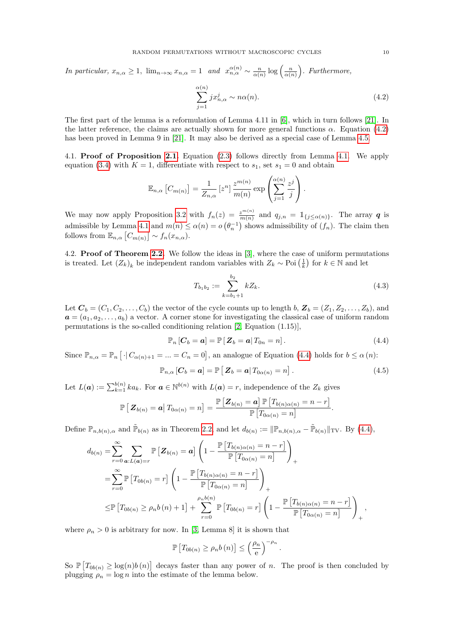In particular,  $x_{n,\alpha} \geq 1$ ,  $\lim_{n \to \infty} x_{n,\alpha} = 1$  and  $x_{n,\alpha}^{\alpha(n)} \sim \frac{n}{\alpha(n)} \log \left( \frac{n}{\alpha(n)} \right)$ . Furthermore,

<span id="page-9-0"></span>
$$
\sum_{j=1}^{\alpha(n)} j x_{n,\alpha}^j \sim n\alpha(n). \tag{4.2}
$$

The first part of the lemma is a reformulation of Lemma 4.11 in [\[6\]](#page-18-17), which in turn follows [\[21\]](#page-18-13). In the latter reference, the claims are actually shown for more general functions  $\alpha$ . Equation [\(4.2\)](#page-9-0) has been proved in Lemma 9 in [\[21\]](#page-18-13). It may also be derived as a special case of Lemma [4.5.](#page-13-0)

4.1. Proof of Proposition [2.1.](#page-1-2) Equation [\(2.3\)](#page-1-3) follows directly from Lemma [4.1.](#page-8-4) We apply equation [\(3.4\)](#page-5-4) with  $K = 1$ , differentiate with respect to  $s_1$ , set  $s_1 = 0$  and obtain

$$
\mathbb{E}_{n,\alpha}\left[C_{m(n)}\right] = \frac{1}{Z_{n,\alpha}}\left[z^n\right]\frac{z^{m(n)}}{m(n)}\exp\left(\sum_{j=1}^{\alpha(n)}\frac{z^j}{j}\right).
$$

We may now apply Proposition [3.2](#page-6-8) with  $f_n(z) = \frac{z^{m(n)}}{m(n)}$  and  $q_{j,n} = \mathbb{1}_{\{j \leq \alpha(n)\}}$ . The array **q** is admissible by Lemma [4.1](#page-8-4) and  $m(n) \leq \alpha(n) = o(\theta_n^{-1})$  shows admissibility of  $(f_n)$ . The claim then follows from  $\mathbb{E}_{n,\alpha}\left[C_{m(n)}\right] \sim f_n(x_{n,\alpha}).$ 

4.2. Proof of Theorem [2.2.](#page-2-0) We follow the ideas in [\[3\]](#page-18-2), where the case of uniform permutations is treated. Let  $(Z_k)_k$  be independent random variables with  $Z_k \sim \text{Poi}(\frac{1}{k})$  for  $k \in \mathbb{N}$  and let

$$
T_{b_1 b_2} := \sum_{k=b_1+1}^{b_2} k Z_k.
$$
\n(4.3)

Let  $\mathbf{C}_b = (C_1, C_2, \ldots, C_b)$  the vector of the cycle counts up to length b,  $\mathbf{Z}_b = (Z_1, Z_2, \ldots, Z_b)$ , and  $a = (a_1, a_2, \ldots, a_b)$  a vector. A corner stone for investigating the classical case of uniform random permutations is the so-called conditioning relation [\[2,](#page-18-14) Equation (1.15)],

<span id="page-9-1"></span>
$$
\mathbb{P}_n\left[C_b = a\right] = \mathbb{P}\left[\left\|\mathbf{Z}_b = a\right|\right]T_{0n} = n].\tag{4.4}
$$

Since  $\mathbb{P}_{n,\alpha} = \mathbb{P}_n [\cdot | C_{\alpha(n)+1} = ... = C_n = 0]$ , an analogue of Equation [\(4.4\)](#page-9-1) holds for  $b \leq \alpha(n)$ :

$$
\mathbb{P}_{n,\alpha}\left[\boldsymbol{C}_b=\boldsymbol{a}\right]=\mathbb{P}\left[\,\boldsymbol{Z}_b=\boldsymbol{a}\,\middle|\,\mathcal{T}_{0\alpha(n)}=n\right].\tag{4.5}
$$

.

Let  $L(\boldsymbol{a}) := \sum_{k=1}^{b(n)} ka_k$ . For  $\boldsymbol{a} \in \mathbb{N}^{b(n)}$  with  $L(\boldsymbol{a}) = r$ , independence of the  $Z_k$  gives

$$
\mathbb{P}\left[\left.\mathbf{Z}_{b(n)}=\boldsymbol{a}\right|T_{0\alpha(n)}=n\right]=\frac{\mathbb{P}\left[\mathbf{Z}_{b(n)}=\boldsymbol{a}\right]\mathbb{P}\left[T_{b(n)\alpha(n)}=n-r\right]}{\mathbb{P}\left[T_{0\alpha(n)}=n\right]}.
$$

Define  $\mathbb{P}_{n,b(n),\alpha}$  and  $\tilde{\mathbb{P}}_{b(n)}$  as in Theorem [2.2,](#page-2-0) and let  $d_{b(n)} := ||\mathbb{P}_{n,b(n),\alpha} - \tilde{\mathbb{P}}_{b(n)}||_{TV}$ . By [\(4.4\)](#page-9-1),

$$
d_{b(n)} = \sum_{r=0}^{\infty} \sum_{\mathbf{a}:L(\mathbf{a})=r} \mathbb{P}\left[\mathbf{Z}_{b(n)}=\mathbf{a}\right] \left(1 - \frac{\mathbb{P}\left[T_{b(n)\alpha(n)}=n-r\right]}{\mathbb{P}\left[T_{0\alpha(n)}=n\right]}\right)_{+}
$$
  
\n
$$
= \sum_{r=0}^{\infty} \mathbb{P}\left[T_{0b(n)}=r\right] \left(1 - \frac{\mathbb{P}\left[T_{b(n)\alpha(n)}=n-r\right]}{\mathbb{P}\left[T_{0\alpha(n)}=n\right]}\right)_{+}
$$
  
\n
$$
\leq \mathbb{P}\left[T_{0b(n)} \geq \rho_n b(n) + 1\right] + \sum_{r=0}^{\rho_n b(n)} \mathbb{P}\left[T_{0b(n)}=r\right] \left(1 - \frac{\mathbb{P}\left[T_{b(n)\alpha(n)}=n-r\right]}{\mathbb{P}\left[T_{0\alpha(n)}=n\right]}\right)_{+},
$$

where  $\rho_n > 0$  is arbitrary for now. In [\[3,](#page-18-2) Lemma 8] it is shown that

$$
\mathbb{P}\left[T_{0b(n)} \ge \rho_n b(n)\right] \le \left(\frac{\rho_n}{e}\right)^{-\rho_n}
$$

So  $\mathbb{P}\left[T_{0b(n)} \geq \log(n)b(n)\right]$  decays faster than any power of n. The proof is then concluded by plugging  $\rho_n = \log n$  into the estimate of the lemma below.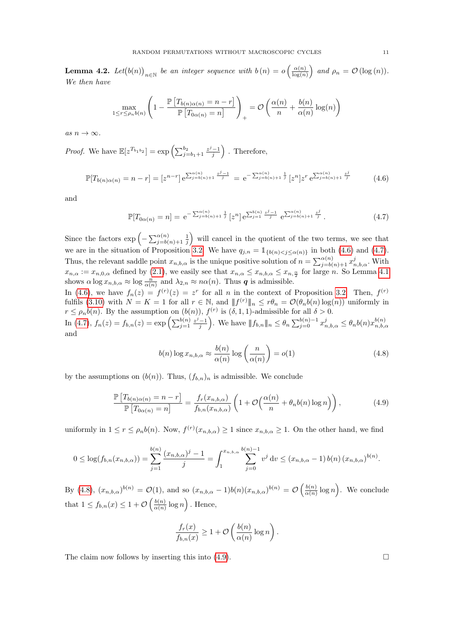**Lemma 4.2.** Let  $(b(n))_{n\in\mathbb{N}}$  be an integer sequence with  $b(n) = o\left(\frac{\alpha(n)}{\log(n)}\right)$  $\frac{\alpha(n)}{\log(n)}$  and  $\rho_n = \mathcal{O}(\log(n)).$ We then have

$$
\max_{1 \leq r \leq \rho_n b(n)} \left( 1 - \frac{\mathbb{P}\left[T_{b(n)\alpha(n)} = n - r\right]}{\mathbb{P}\left[T_{0\alpha(n)} = n\right]} \right)_+ = \mathcal{O}\left(\frac{\alpha(n)}{n} + \frac{b(n)}{\alpha(n)}\log(n)\right)
$$

as  $n \to \infty$ .

*Proof.* We have  $\mathbb{E}[z^{T_{b_1b_2}}] = \exp\left(\sum_{j=b_1+1}^{b_2} \frac{z^j-1}{j}\right)$ . Therefore,

<span id="page-10-0"></span>
$$
\mathbb{P}[T_{b(n)\alpha(n)} = n - r] = [z^{n-r}] e^{\sum_{j=b(n)+1}^{\alpha(n)} \frac{z^j - 1}{j}} = e^{-\sum_{j=b(n)+1}^{\alpha(n)} \frac{1}{j}} [z^n] z^r e^{\sum_{j=b(n)+1}^{\alpha(n)} \frac{z^j}{j}}
$$
(4.6)

and

<span id="page-10-1"></span>
$$
\mathbb{P}[T_{0\alpha(n)} = n] = e^{-\sum_{j=b(n)+1}^{\alpha(n)} \frac{1}{j}} \left[z^n\right] e^{\sum_{j=1}^{b(n)} \frac{z^j - 1}{j}} e^{\sum_{j=b(n)+1}^{\alpha(n)} \frac{z^j}{j}}.
$$
\n(4.7)

Since the factors  $\exp\left(-\sum_{j=b(n)+1}^{\alpha(n)}\frac{1}{j}\right)$  will cancel in the quotient of the two terms, we see that we are in the situation of Proposition [3.2.](#page-6-8) We have  $q_{j,n} = \mathbb{1}_{\{b(n) < j \leq \alpha(n)\}}$  in both [\(4.6\)](#page-10-0) and [\(4.7\)](#page-10-1). Thus, the relevant saddle point  $x_{n,b,\alpha}$  is the unique positive solution of  $n = \sum_{j=b(n)+1}^{\alpha(n)} x_{n,b,\alpha}^j$ . With  $x_{n,\alpha} := x_{n,0,\alpha}$  defined by [\(2.1\)](#page-1-4), we easily see that  $x_{n,\alpha} \leq x_{n,b,\alpha} \leq x_{n,\frac{\alpha}{2}}$  for large n. So Lemma [4.1](#page-8-4) shows  $\alpha \log x_{n,b,\alpha} \approx \log \frac{n}{\alpha(n)}$  and  $\lambda_{2,n} \approx n\alpha(n)$ . Thus **q** is admissible.

In [\(4.6\)](#page-10-0), we have  $f_n(z) = f^{(r)}(z) = z^r$  for all n in the context of Proposition [3.2.](#page-6-8) Then,  $f^{(r)}$ fulfils [\(3.10\)](#page-6-7) with  $N = K = 1$  for all  $r \in \mathbb{N}$ , and  $|| f^{(r)} ||_n \leq r \theta_n = \mathcal{O}(\theta_n b(n) \log(n))$  uniformly in  $r \leq \rho_n b(n)$ . By the assumption on  $(b(n))$ ,  $f^{(r)}$  is  $(\delta, 1, 1)$ -admissible for all  $\delta > 0$ .

In [\(4.7\)](#page-10-1),  $f_n(z) = f_{b,n}(z) = \exp\left(\sum_{j=1}^{b(n)} \frac{z^j-1}{j}\right)$ . We have  $||f_{b,n}||_n \leq \theta_n \sum_{j=0}^{b(n)-1} x_{n,b,\alpha}^j \leq \theta_n b(n) x_{n,b,\alpha}^{b(n)}$  $n,b,\alpha$ and

<span id="page-10-2"></span>
$$
b(n)\log x_{n,b,\alpha} \approx \frac{b(n)}{\alpha(n)}\log\left(\frac{n}{\alpha(n)}\right) = o(1)
$$
\n(4.8)

by the assumptions on  $(b(n))$ . Thus,  $(f_{b,n})_n$  is admissible. We conclude

<span id="page-10-3"></span>
$$
\frac{\mathbb{P}\left[T_{b(n)\alpha(n)}=n-r\right]}{\mathbb{P}\left[T_{0\alpha(n)}=n\right]} = \frac{f_r(x_{n,b,\alpha})}{f_{b,n}(x_{n,b,\alpha})} \left(1+\mathcal{O}\left(\frac{\alpha(n)}{n}+\theta_n b(n)\log n\right)\right),\tag{4.9}
$$

uniformly in  $1 \leq r \leq \rho_n b(n)$ . Now,  $f^{(r)}(x_{n,b,\alpha}) \geq 1$  since  $x_{n,b,\alpha} \geq 1$ . On the other hand, we find

$$
0 \leq \log(f_{b,n}(x_{n,b,\alpha})) = \sum_{j=1}^{b(n)} \frac{(x_{n,b,\alpha})^j - 1}{j} = \int_1^{x_{n,b,\alpha}} \sum_{j=0}^{b(n)-1} v^j dv \leq (x_{n,b,\alpha} - 1) b(n) (x_{n,b,\alpha})^{b(n)}.
$$

By [\(4.8\)](#page-10-2),  $(x_{n,b,\alpha})^{b(n)} = \mathcal{O}(1)$ , and so  $(x_{n,b,\alpha} - 1)b(n)(x_{n,b,\alpha})^{b(n)} = \mathcal{O}\left(\frac{b(n)}{\alpha(n)}\right)$  $\frac{b(n)}{\alpha(n)} \log n$ . We conclude that  $1 \leq f_{b,n}(x) \leq 1 + \mathcal{O}\left(\frac{b(n)}{\alpha(n)}\right)$  $\frac{b(n)}{\alpha(n)}\log n\right)$ . Hence,

$$
\frac{f_r(x)}{f_{b,n}(x)} \ge 1 + \mathcal{O}\left(\frac{b(n)}{\alpha(n)}\log n\right).
$$

The claim now follows by inserting this into  $(4.9)$ .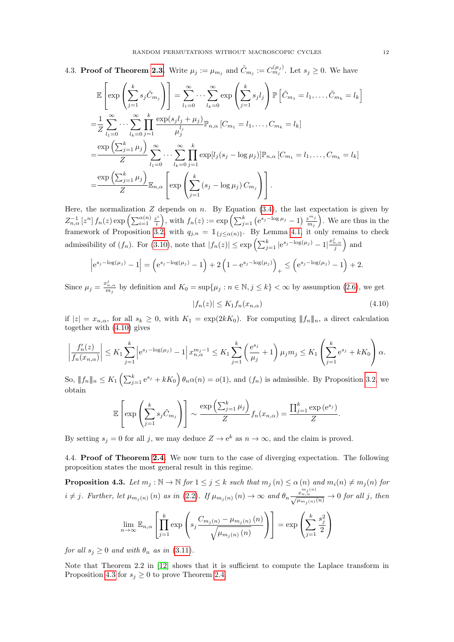4.3. Proof of Theorem [2.3.](#page-3-0) Write  $\mu_j := \mu_{m_j}$  and  $\tilde{C}_{m_j} := C_{m_j}^{(\mu_j)}$ . Let  $s_j \geq 0$ . We have

$$
\mathbb{E}\left[\exp\left(\sum_{j=1}^{k} s_j \tilde{C}_{m_j}\right)\right] = \sum_{l_1=0}^{\infty} \cdots \sum_{l_k=0}^{\infty} \exp\left(\sum_{j=1}^{k} s_j l_j\right) \mathbb{P}\left[\tilde{C}_{m_1} = l_1, \ldots, \tilde{C}_{m_k} = l_k\right]
$$

$$
= \frac{1}{Z} \sum_{l_1=0}^{\infty} \cdots \sum_{l_k=0}^{\infty} \prod_{j=1}^{k} \frac{\exp(s_j l_j + \mu_j)}{\mu_j^l} \mathbb{P}_{n,\alpha} \left[C_{m_1} = l_1, \ldots, C_{m_k} = l_k\right]
$$

$$
= \frac{\exp\left(\sum_{j=1}^{k} \mu_j\right)}{Z} \sum_{l_1=0}^{\infty} \cdots \sum_{l_k=0}^{\infty} \prod_{j=1}^{k} \exp[l_j(s_j - \log \mu_j)] \mathbb{P}_{n,\alpha} \left[C_{m_1} = l_1, \ldots, C_{m_k} = l_k\right]
$$

$$
= \frac{\exp\left(\sum_{j=1}^{k} \mu_j\right)}{Z} \mathbb{E}_{n,\alpha} \left[\exp\left(\sum_{j=1}^{k} (s_j - \log \mu_j) C_{m_j}\right)\right].
$$

Here, the normalization  $Z$  depends on n. By Equation [\(3.4\)](#page-5-4), the last expectation is given by  $Z_{n,\alpha}^{-1}\left[z^n\right]f_n(z)\exp\left(\sum_{i=1}^{\alpha(n)}\frac{z^i}{i}\right)$  $\left(\sum_{j=1}^k \left(e^{s_j-\log\mu_j}-1\right)\frac{z^{m_j}}{m_j}\right)$  $\left(\frac{z^{m_j}}{m_j}\right)$ . We are thus in the framework of Proposition [3.2,](#page-6-8) with  $q_{j,n} = \mathbb{1}_{\{j \leq \alpha(n)\}}$ . By Lemma [4.1,](#page-8-4) it only remains to check admissibility of  $(f_n)$ . For  $(3.10)$ , note that  $|f_n(z)| \leq \exp\left(\sum_{j=1}^k |e^{s_j - \log(\mu_j)} - 1|^{\frac{x_{n,\alpha}^j}{j}}\right)$  and

$$
\left| e^{s_j - \log(\mu_j)} - 1 \right| = \left( e^{s_j - \log(\mu_j)} - 1 \right) + 2 \left( 1 - e^{s_j - \log(\mu_j)} \right)_+ \le \left( e^{s_j - \log(\mu_j)} - 1 \right) + 2.
$$

Since  $\mu_j = \frac{x_{n,\alpha}^j}{m_j}$  by definition and  $K_0 = \sup\{\mu_j : n \in \mathbb{N}, j \leq k\} < \infty$  by assumption [\(2.6\)](#page-3-3), we get

<span id="page-11-0"></span>
$$
|f_n(z)| \le K_1 f_n(x_{n,\alpha}) \tag{4.10}
$$

if  $|z| = x_{n,\alpha}$ , for all  $s_k \geq 0$ , with  $K_1 = \exp(2kK_0)$ . For computing  $||f_n||_n$ , a direct calculation together with [\(4.10\)](#page-11-0) gives

$$
\left| \frac{f'_n(z)}{f_n(x_{n,\alpha})} \right| \le K_1 \sum_{j=1}^k \left| e^{s_j - \log(\mu_j)} - 1 \right| x_{n,\alpha}^{m_j - 1} \le K_1 \sum_{j=1}^k \left( \frac{e^{s_j}}{\mu_j} + 1 \right) \mu_j m_j \le K_1 \left( \sum_{j=1}^k e^{s_j} + kK_0 \right) \alpha.
$$

So,  $||f_n||_n \le K_1 \left( \sum_{j=1}^k e^{s_j} + kK_0 \right) \theta_n \alpha(n) = o(1)$ , and  $(f_n)$  is admissible. By Proposition [3.2,](#page-6-8) we obtain

$$
\mathbb{E}\left[\exp\left(\sum_{j=1}^k s_j \tilde{C}_{m_j}\right)\right] \sim \frac{\exp\left(\sum_{j=1}^k \mu_j\right)}{Z} f_n(x_{n,\alpha}) = \frac{\prod_{j=1}^k \exp\left(e^{s_j}\right)}{Z}.
$$

By setting  $s_j = 0$  for all j, we may deduce  $Z \to e^k$  as  $n \to \infty$ , and the claim is proved.

4.4. Proof of Theorem [2.4.](#page-3-1) We now turn to the case of diverging expectation. The following proposition states the most general result in this regime.

<span id="page-11-1"></span>**Proposition 4.3.** Let  $m_j : \mathbb{N} \to \mathbb{N}$  for  $1 \leq j \leq k$  such that  $m_j(n) \leq \alpha(n)$  and  $m_i(n) \neq m_j(n)$  for  $i \neq j$ . Further, let  $\mu_{m_j(n)}(n)$  as in [\(2.2\)](#page-1-5). If  $\mu_{m_j(n)}(n) \to \infty$  and  $\theta_n \frac{x_{n,\alpha}^{m_j(n)}}{\sqrt{\mu_{m_j(n)}(n)}} \to 0$  for all j, then  $\lim_{n\to\infty}\mathbb{E}_{n,\alpha}$  $\lceil$  $\left| \prod_{k=1}^{k} \right|$  $j=1$ exp  $\sqrt{ }$  $\left(s_j \frac{C_{m_j(n)} - \mu_{m_j(n)}(n)}{\sqrt{m_j(n)}\right)$  $\sqrt{\mu_{m_j(n)}(n)}$  $\setminus$  $\overline{1}$ 1  $=$  exp  $\sqrt{ }$  $\left(\sum_{k=1}^{k} x_k\right)$  $j=1$  $s_j^2$ 2  $\setminus$  $\overline{1}$ 

for all  $s_j \geq 0$  and with  $\theta_n$  as in [\(3.11\)](#page-6-2).

Note that Theorem 2.2 in [\[12\]](#page-18-22) shows that it is sufficient to compute the Laplace transform in Proposition [4.3](#page-11-1) for  $s_j \geq 0$  to prove Theorem [2.4.](#page-3-1)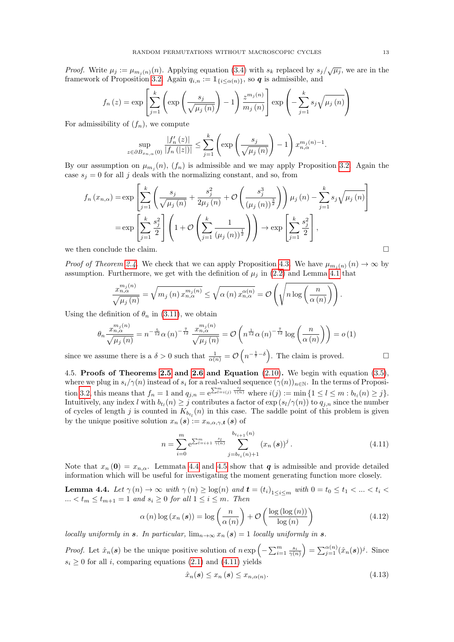*Proof.* Write  $\mu_j := \mu_{m_j(n)}(n)$ . Applying equation [\(3.4\)](#page-5-4) with  $s_k$  replaced by  $s_j/\sqrt{\mu_j}$ , we are in the framework of Proposition [3.2.](#page-6-8) Again  $q_{i,n} := \mathbb{1}_{\{i \leq \alpha(n)\}\,$ , so **q** is admissible, and

$$
f_n(z) = \exp\left[\sum_{j=1}^k \left(\exp\left(\frac{s_j}{\sqrt{\mu_j(n)}}\right) - 1\right) \frac{z^{m_j(n)}}{m_j(n)}\right] \exp\left(-\sum_{j=1}^k s_j \sqrt{\mu_j(n)}\right)
$$

For admissibility of  $(f_n)$ , we compute

$$
\sup_{z \in \partial B_{x_{n,\alpha}}(0)} \frac{|f'_n(z)|}{|f_n(|z|)|} \le \sum_{j=1}^k \left( \exp\left(\frac{s_j}{\sqrt{\mu_j(n)}}\right) - 1 \right) x_{n,\alpha}^{m_j(n)-1}.
$$

By our assumption on  $\mu_{m_j}(n)$ ,  $(f_n)$  is admissible and we may apply Proposition [3.2.](#page-6-8) Again the case  $s_j = 0$  for all j deals with the normalizing constant, and so, from

$$
f_n(x_{n,\alpha}) = \exp\left[\sum_{j=1}^k \left(\frac{s_j}{\sqrt{\mu_j(n)}} + \frac{s_j^2}{2\mu_j(n)} + \mathcal{O}\left(\frac{s_j^3}{(\mu_j(n))^{\frac{3}{2}}}\right)\right)\mu_j(n) - \sum_{j=1}^k s_j \sqrt{\mu_j(n)}\right]
$$

$$
= \exp\left[\sum_{j=1}^k \frac{s_j^2}{2}\right] \left(1 + \mathcal{O}\left(\sum_{j=1}^k \frac{1}{(\mu_j(n))^{\frac{1}{2}}}\right)\right) \to \exp\left[\sum_{j=1}^k \frac{s_j^2}{2}\right],
$$
we then conclude the claim.

*Proof of Theorem [2.4.](#page-3-1)* We check that we can apply Proposition [4.3.](#page-11-1) We have  $\mu_{m_i(n)}(n) \to \infty$  by assumption. Furthermore, we get with the definition of  $\mu_j$  in [\(2.2\)](#page-1-5) and Lemma [4.1](#page-8-4) that

$$
\frac{x_{n,\alpha}^{m_j(n)}}{\sqrt{\mu_j(n)}} = \sqrt{m_j(n) x_{n,\alpha}^{m_j(n)}} \leq \sqrt{\alpha(n) x_{n,\alpha}^{\alpha(n)}} = \mathcal{O}\left(\sqrt{n \log\left(\frac{n}{\alpha(n)}\right)}\right).
$$

Using the definition of  $\theta_n$  in [\(3.11\)](#page-6-2), we obtain

$$
\theta_n \frac{x_{n,\alpha}^{m_j(n)}}{\sqrt{\mu_j(n)}} = n^{-\frac{5}{12}} \alpha(n)^{-\frac{7}{12}} \frac{x_{n,\alpha}^{m_j(n)}}{\sqrt{\mu_j(n)}} = \mathcal{O}\left(n^{\frac{1}{12}} \alpha(n)^{-\frac{7}{12}} \log\left(\frac{n}{\alpha(n)}\right)\right) = o(1)
$$

since we assume there is a  $\delta > 0$  such that  $\frac{1}{\alpha(n)} = \mathcal{O}\left(n^{-\frac{1}{7}-\delta}\right)$ . The claim is proved.

<span id="page-12-4"></span>4.5. Proofs of Theorems [2.5](#page-3-2) and [2.6](#page-4-0) and Equation  $(2.10)$ . We begin with equation  $(3.5)$ , where we plug in  $s_i/\gamma(n)$  instead of  $s_i$  for a real-valued sequence  $(\gamma(n))_{n\in\mathbb{N}}$ . In the terms of Proposi-tion [3.2,](#page-6-8) this means that  $f_n = 1$  and  $q_{j,n} = e^{\sum_{l=i(j)}^m \frac{s_l}{\gamma(n)}}$  where  $i(j) := \min\{1 \leq l \leq m : b_{t_l}(n) \geq j\}.$ Intuitively, any index l with  $b_{t_l}(n) \geq j$  contributes a factor of  $\exp(s_l/\gamma(n))$  to  $q_{j,n}$  since the number of cycles of length j is counted in  $K_{b_{t_l}}(n)$  in this case. The saddle point of this problem is given by the unique positive solution  $x_n(s) := x_{n,\alpha,\gamma,\mathbf{t}}(s)$  of

<span id="page-12-1"></span>
$$
n = \sum_{i=0}^{m} e^{\sum_{l=i+1}^{m} \frac{s_l}{\gamma(n)}} \sum_{j=b_{t_i}(n)+1}^{b_{t_{i+1}}(n)} (x_n(s))^j.
$$
 (4.11)

Note that  $x_n(0) = x_{n,\alpha}$ . Lemmata [4.4](#page-12-0) and [4.5](#page-13-0) show that q is admissible and provide detailed information which will be useful for investigating the moment generating function more closely.

<span id="page-12-0"></span>**Lemma 4.4.** Let  $\gamma(n) \to \infty$  with  $\gamma(n) \ge \log(n)$  and  $\mathbf{t} = (t_i)_{1 \le i \le m}$  with  $0 = t_0 \le t_1 < ... < t_i <$  $... < t_m \leq t_{m+1} = 1$  and  $s_i \geq 0$  for all  $1 \leq i \leq m$ . Then

<span id="page-12-2"></span>
$$
\alpha(n) \log (x_n(s)) = \log \left( \frac{n}{\alpha(n)} \right) + \mathcal{O} \left( \frac{\log (\log (n))}{\log (n)} \right) \tag{4.12}
$$

locally uniformly in s. In particular,  $\lim_{n\to\infty} x_n(s) = 1$  locally uniformly in s.

*Proof.* Let  $\hat{x}_n(s)$  be the unique positive solution of  $n \exp\left(-\sum_{i=1}^m \frac{s_i}{\gamma(n)}\right) = \sum_{j=1}^{\alpha(n)} (\hat{x}_n(s))^j$ . Since  $s_i \geq 0$  for all i, comparing equations [\(2.1\)](#page-1-4) and [\(4.11\)](#page-12-1) yields

<span id="page-12-3"></span>
$$
\hat{x}_n(\mathbf{s}) \le x_n(\mathbf{s}) \le x_{n,\alpha(n)}.\tag{4.13}
$$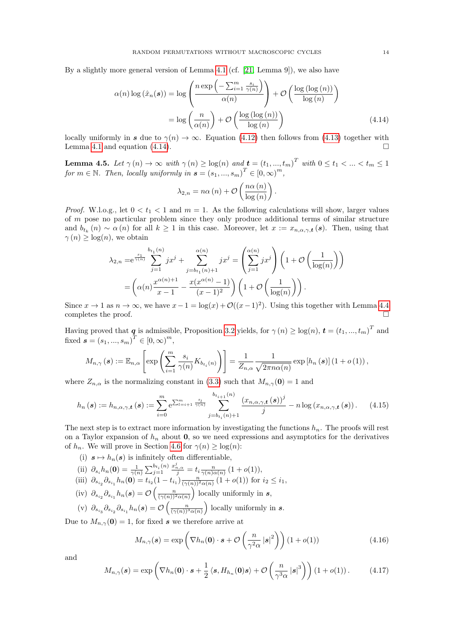By a slightly more general version of Lemma [4.1](#page-8-4) (cf. [\[21,](#page-18-13) Lemma 9]), we also have

$$
\alpha(n) \log(\hat{x}_n(\boldsymbol{s})) = \log \left( \frac{n \exp\left(-\sum_{i=1}^m \frac{s_i}{\gamma(n)}\right)}{\alpha(n)} \right) + \mathcal{O}\left(\frac{\log(\log(n))}{\log(n)}\right)
$$

$$
= \log \left(\frac{n}{\alpha(n)}\right) + \mathcal{O}\left(\frac{\log(\log(n))}{\log(n)}\right) \tag{4.14}
$$

locally uniformly in s due to  $\gamma(n) \to \infty$ . Equation [\(4.12\)](#page-12-2) then follows from [\(4.13\)](#page-12-3) together with Lemma [4.1](#page-8-4) and equation [\(4.14\)](#page-13-1).

<span id="page-13-0"></span>**Lemma 4.5.** Let  $\gamma(n) \to \infty$  with  $\gamma(n) \ge \log(n)$  and  $\mathbf{t} = (t_1, ..., t_m)^T$  with  $0 \le t_1 < ... < t_m \le 1$ for  $m \in \mathbb{N}$ . Then, locally uniformly in  $\mathbf{s} = (s_1, ..., s_m)^T \in [0, \infty)^m$ ,

<span id="page-13-1"></span>
$$
\lambda_{2,n} = n\alpha(n) + \mathcal{O}\left(\frac{n\alpha(n)}{\log(n)}\right).
$$

*Proof.* W.l.o.g., let  $0 < t_1 < 1$  and  $m = 1$ . As the following calculations will show, larger values of  $m$  pose no particular problem since they only produce additional terms of similar structure and  $b_{t_k}(n) \sim \alpha(n)$  for all  $k \geq 1$  in this case. Moreover, let  $x := x_{n,\alpha,\gamma,t}(s)$ . Then, using that  $\gamma(n) \geq \log(n)$ , we obtain

$$
\lambda_{2,n} = e^{\frac{s_1}{\gamma(n)}} \sum_{j=1}^{b_{t_1}(n)} jx^j + \sum_{j=b_{t_1}(n)+1}^{\alpha(n)} jx^j = \left(\sum_{j=1}^{\alpha(n)} jx^j\right) \left(1 + \mathcal{O}\left(\frac{1}{\log(n)}\right)\right)
$$

$$
= \left(\alpha(n)\frac{x^{\alpha(n)+1}}{x-1} - \frac{x(x^{\alpha(n)}-1)}{(x-1)^2}\right) \left(1 + \mathcal{O}\left(\frac{1}{\log(n)}\right)\right).
$$

Since  $x \to 1$  as  $n \to \infty$ , we have  $x - 1 = \log(x) + \mathcal{O}((x - 1)^2)$ . Using this together with Lemma [4.4](#page-12-0) completes the proof.

Having proved that  $q$  is admissible, Proposition [3.2](#page-6-8) yields, for  $\gamma(n) \ge \log(n)$ ,  $\boldsymbol{t} = (t_1, ..., t_m)^T$  and fixed  $s = (s_1, ..., s_m)^T \in [0, \infty)^m$ ,

$$
M_{n,\gamma}(\mathbf{s}) := \mathbb{E}_{n,\alpha} \left[ \exp \left( \sum_{i=1}^m \frac{s_i}{\gamma(n)} K_{b_{t_i}(n)} \right) \right] = \frac{1}{Z_{n,\alpha}} \frac{1}{\sqrt{2\pi n\alpha(n)}} \exp \left[ h_n(\mathbf{s}) \right] \left( 1 + o(1) \right),
$$

where  $Z_{n,\alpha}$  is the normalizing constant in [\(3.3\)](#page-5-6) such that  $M_{n,\gamma}(0) = 1$  and

$$
h_n(s) := h_{n,\alpha,\gamma,\mathbf{t}}(s) := \sum_{i=0}^m e^{\sum_{l=i+1}^m \frac{s_l}{\gamma(n)}} \sum_{j=b_{t_i}(n)+1}^{b_{t_{i+1}}(n)} \frac{(x_{n,\alpha,\gamma,\mathbf{t}}(s))^j}{j} - n \log (x_{n,\alpha,\gamma,\mathbf{t}}(s)) \,. \tag{4.15}
$$

The next step is to extract more information by investigating the functions  $h_n$ . The proofs will rest on a Taylor expansion of  $h_n$  about 0, so we need expressions and asymptotics for the derivatives of  $h_n$ . We will prove in Section [4.6](#page-16-0) for  $\gamma(n) \geq \log(n)$ :

- (i)  $s \mapsto h_n(s)$  is infinitely often differentiable,
- (ii)  $\partial_{s_i} h_n(0) = \frac{1}{\gamma(n)} \sum_{j=1}^{b_{t_i}(n)}$  $j=1$  $\frac{x_{n,\alpha}^j}{j} = t_i \frac{n}{\gamma(n)\alpha(n)} (1+o(1)),$
- (iii)  $\partial_{s_{i_2}} \partial_{s_{i_1}} h_n(\mathbf{0}) = t_{i_2} (1 t_{i_1}) \frac{n}{(\gamma(n))^2 \alpha(n)} (1 + o(1))$  for  $i_2 \leq i_1$ ,
- (iv)  $\partial_{s_{i_2}} \partial_{s_{i_1}} h_n(s) = \mathcal{O}\left(\frac{n}{(\gamma(n))^2 \alpha(n)}\right)$  locally uniformly in s,
- (v)  $\partial_{s_{i_3}} \partial_{s_{i_2}} \partial_{s_{i_1}} h_n(s) = \mathcal{O}\left(\frac{n}{(\gamma(n))^3 \alpha(n)}\right)$  locally uniformly in s.

Due to  $M_{n, \gamma}(\mathbf{0}) = 1$ , for fixed s we therefore arrive at

<span id="page-13-4"></span><span id="page-13-2"></span>
$$
M_{n,\gamma}(\boldsymbol{s}) = \exp\left(\nabla h_n(\boldsymbol{0}) \cdot \boldsymbol{s} + \mathcal{O}\left(\frac{n}{\gamma^2 \alpha} |\boldsymbol{s}|^2\right)\right) (1 + o(1)) \tag{4.16}
$$

and

<span id="page-13-3"></span>
$$
M_{n,\gamma}(\boldsymbol{s}) = \exp\left(\nabla h_n(\boldsymbol{0}) \cdot \boldsymbol{s} + \frac{1}{2} \left\langle \boldsymbol{s}, H_{h_n}(\boldsymbol{0}) \boldsymbol{s} \right\rangle + \mathcal{O}\left(\frac{n}{\gamma^3 \alpha} \left| \boldsymbol{s} \right|^3 \right)\right) (1 + o(1)). \tag{4.17}
$$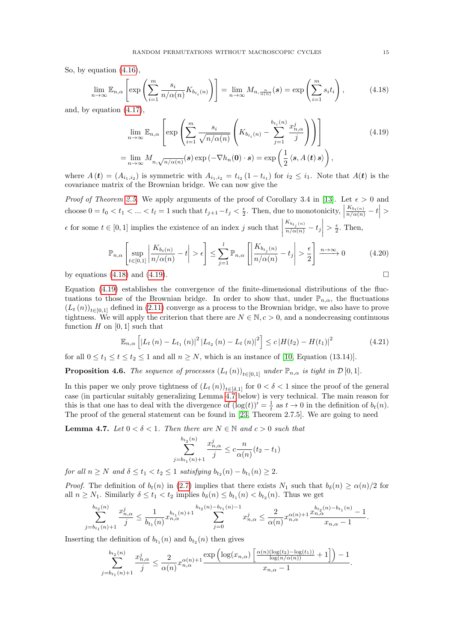So, by equation [\(4.16\)](#page-13-2),

<span id="page-14-0"></span>
$$
\lim_{n \to \infty} \mathbb{E}_{n,\alpha} \left[ \exp \left( \sum_{i=1}^m \frac{s_i}{n/\alpha(n)} K_{b_{t_i}(n)} \right) \right] = \lim_{n \to \infty} M_{n, \frac{n}{\alpha(n)}}(s) = \exp \left( \sum_{i=1}^m s_i t_i \right), \tag{4.18}
$$

and, by equation [\(4.17\)](#page-13-3),

<span id="page-14-1"></span>
$$
\lim_{n \to \infty} \mathbb{E}_{n,\alpha} \left[ \exp \left( \sum_{i=1}^{m} \frac{s_i}{\sqrt{n/\alpha(n)}} \left( K_{b_{t_i}(n)} - \sum_{j=1}^{b_{t_i}(n)} \frac{x_{n,\alpha}^j}{j} \right) \right) \right]
$$
\n
$$
= \lim_{n \to \infty} M_{n,\sqrt{n/\alpha(n)}}(s) \exp \left( -\nabla h_n(\mathbf{0}) \cdot s \right) = \exp \left( \frac{1}{2} \left\langle s, A(t) \, s \right\rangle \right),
$$
\n(4.19)

where  $A(t) = (A_{i_1,i_2})$  is symmetric with  $A_{i_1,i_2} = t_{i_2} (1-t_{i_1})$  for  $i_2 \leq i_1$ . Note that  $A(t)$  is the covariance matrix of the Brownian bridge. We can now give the

*Proof of Theorem [2.5.](#page-3-2)* We apply arguments of the proof of Corollary 3.4 in [\[13\]](#page-18-23). Let  $\epsilon > 0$  and choose  $0 = t_0 < t_1 < ... < t_l = 1$  such that  $t_{j+1} - t_j < \frac{\epsilon}{2}$ . Then, due to monotonicity,  $\left| \frac{K_{b_t(n)}}{n/\alpha(n)} - t \right| >$  $\overline{\phantom{a}}$  $\epsilon$  for some  $t \in [0, 1]$  implies the existence of an index j such that  $\left. \frac{K_{b_{t_j}(n)}}{n/\alpha(n)} - t_j \right|$  $> \frac{\epsilon}{2}$ . Then,

$$
\mathbb{P}_{n,\alpha}\left[\sup_{t\in[0,1]}\left|\frac{K_{b_t(n)}}{n/\alpha(n)}-t\right|>\epsilon\right] \leq \sum_{j=1}^l \mathbb{P}_{n,\alpha}\left[\left|\frac{K_{b_{t_j}(n)}}{n/\alpha(n)}-t_j\right|>\frac{\epsilon}{2}\right] \xrightarrow{n\to\infty} 0\tag{4.20}
$$

by equations [\(4.18\)](#page-14-0) and [\(4.19\)](#page-14-1).

Equation [\(4.19\)](#page-14-1) establishes the convergence of the finite-dimensional distributions of the fluctuations to those of the Brownian bridge. In order to show that, under  $\mathbb{P}_{n,\alpha}$ , the fluctuations  $(L_t(n))_{t\in[0,1]}$  defined in [\(2.11\)](#page-4-3) converge as a process to the Brownian bridge, we also have to prove tightness. We will apply the criterion that there are  $N \in \mathbb{N}, c > 0$ , and a nondecreasing continuous function  $H$  on [0, 1] such that

<span id="page-14-4"></span>
$$
\mathbb{E}_{n,\alpha}\left[ \left| L_t\left( n \right) - L_{t_1}\left( n \right) \right|^2 \left| L_{t_2}\left( n \right) - L_t\left( n \right) \right|^2 \right] \leq c \left| H(t_2) - H(t_1) \right|^2 \tag{4.21}
$$

for all  $0 \le t_1 \le t \le t_2 \le 1$  and all  $n \ge N$ , which is an instance of [\[10,](#page-18-24) Equation (13.14)].

<span id="page-14-3"></span>**Proposition 4.6.** The sequence of processes  $(L_t(n))_{t\in[0,1]}$  under  $\mathbb{P}_{n,\alpha}$  is tight in  $\mathcal{D}[0,1]$ .

In this paper we only prove tightness of  $(L_t(n))_{t\in[\delta,1]}$  for  $0<\delta<1$  since the proof of the general case (in particular suitably generalizing Lemma [4.7](#page-14-2) below) is very technical. The main reason for this is that one has to deal with the divergence of  $(\log(t))' = \frac{1}{t}$  as  $t \to 0$  in the definition of  $b_t(n)$ . The proof of the general statement can be found in [\[23,](#page-18-18) Theorem 2.7.5]. We are going to need

<span id="page-14-2"></span>**Lemma 4.7.** Let  $0 < \delta < 1$ . Then there are  $N \in \mathbb{N}$  and  $c > 0$  such that

$$
\sum_{j=b_{t_1}(n)+1}^{b_{t_2}(n)} \frac{x_{n,\alpha}^j}{j} \le c \frac{n}{\alpha(n)} (t_2 - t_1)
$$

for all  $n \geq N$  and  $\delta \leq t_1 < t_2 \leq 1$  satisfying  $b_{t_2}(n) - b_{t_1}(n) \geq 2$ .

*Proof.* The definition of  $b_t(n)$  in [\(2.7\)](#page-3-4) implies that there exists  $N_1$  such that  $b_\delta(n) \ge \alpha(n)/2$  for all  $n \geq N_1$ . Similarly  $\delta \leq t_1 < t_2$  implies  $b_{\delta}(n) \leq b_{t_1}(n) < b_{t_2}(n)$ . Thus we get

$$
\sum_{j=b_{t_1}(n)+1}^{b_{t_2}(n)} \frac{x_{n,\alpha}^j}{j} \leq \frac{1}{b_{t_1}(n)} x_{n,\alpha}^{b_{t_1}(n)+1} \sum_{j=0}^{b_{t_2}(n)-b_{t_1}(n)-1} x_{n,\alpha}^j \leq \frac{2}{\alpha(n)} x_{n,\alpha}^{\alpha(n)+1} \frac{x_{n,\alpha}^{b_{t_2}(n)-b_{t_1}(n)}-1}{x_{n,\alpha}-1}.
$$

Inserting the definition of  $b_{t_1}(n)$  and  $b_{t_2}(n)$  then gives

$$
\sum_{j=b_{t_1}(n)+1}^{b_{t_2}(n)} \frac{x_{n,\alpha}^j}{j} \le \frac{2}{\alpha(n)} x_{n,\alpha}^{\alpha(n)+1} \frac{\exp\left(\log(x_{n,\alpha})\left[\frac{\alpha(n)(\log(t_2)-\log(t_1))}{\log(n/\alpha(n))}+1\right]\right)-1}{x_{n,\alpha}-1}.
$$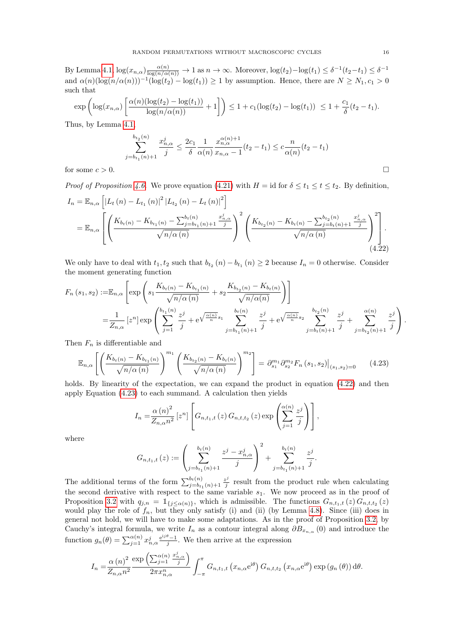By Lemma [4.1,](#page-8-4)  $\log(x_{n,\alpha}) \frac{\alpha(n)}{\log(n/\alpha(n))} \to 1$  as  $n \to \infty$ . Moreover,  $\log(t_2) - \log(t_1) \leq \delta^{-1}(t_2 - t_1) \leq \delta^{-1}$ and  $\alpha(n)(\log(n/\alpha(n)))^{-1}(\log(t_2) - \log(t_1)) \geq 1$  by assumption. Hence, there are  $N \geq N_1, c_1 > 0$ such that

$$
\exp\left(\log(x_{n,\alpha})\left[\frac{\alpha(n)(\log(t_2) - \log(t_1))}{\log(n/\alpha(n))} + 1\right]\right) \le 1 + c_1(\log(t_2) - \log(t_1)) \le 1 + \frac{c_1}{\delta}(t_2 - t_1).
$$

Thus, by Lemma [4.1,](#page-8-4)

$$
\sum_{j=b_{t_1}(n)+1}^{b_{t_2}(n)} \frac{x_{n,\alpha}^j}{j} \le \frac{2c_1}{\delta} \frac{1}{\alpha(n)} \frac{x_{n,\alpha}^{\alpha(n)+1}}{x_{n,\alpha}-1} (t_2 - t_1) \le c \frac{n}{\alpha(n)} (t_2 - t_1)
$$

for some  $c > 0$ .

*Proof of Proposition [4.6.](#page-14-3)* We prove equation [\(4.21\)](#page-14-4) with  $H = id$  for  $\delta \le t_1 \le t \le t_2$ . By definition,

$$
I_{n} = \mathbb{E}_{n,\alpha} \left[ \left| L_{t}(n) - L_{t_{1}}(n) \right|^{2} \left| L_{t_{2}}(n) - L_{t}(n) \right|^{2} \right]
$$
  
=  $\mathbb{E}_{n,\alpha} \left[ \left( \frac{K_{b_{t}(n)} - K_{b_{t_{1}}(n)} - \sum_{j=b_{t_{1}}(n)+1}^{b_{t}(n)} \frac{x_{n,\alpha}^{j}}{j}}{\sqrt{n/\alpha(n)}} \right)^{2} \left( \frac{K_{b_{t_{2}}(n)} - K_{b_{t}(n)} - \sum_{j=b_{t}(n)+1}^{b_{t_{2}}(n)} \frac{x_{n,\alpha}^{j}}{j}}{\sqrt{n/\alpha(n)}} \right)^{2} \right].$  (4.22)

We only have to deal with  $t_1, t_2$  such that  $b_{t_2}(n) - b_{t_1}(n) \geq 2$  because  $I_n = 0$  otherwise. Consider the moment generating function

$$
F_n(s_1, s_2) := \mathbb{E}_{n, \alpha} \left[ \exp \left( s_1 \frac{K_{b_t(n)} - K_{b_{t_1}(n)}}{\sqrt{n/\alpha(n)}} + s_2 \frac{K_{b_{t_2}(n)} - K_{b_t(n)}}{\sqrt{n/\alpha(n)}} \right) \right]
$$
  
=  $\frac{1}{Z_{n, \alpha}} \left[ z^n \right] \exp \left( \sum_{j=1}^{b_{t_1}(n)} \frac{z^j}{j} + e^{\sqrt{\frac{\alpha(n)}{n}} s_1} \sum_{j=b_{t_1}(n)+1}^{b_t(n)} \frac{z^j}{j} + e^{\sqrt{\frac{\alpha(n)}{n}} s_2} \sum_{j=b_t(n)+1}^{b_{t_2}(n)} \frac{z^j}{j} + \sum_{j=b_{t_2}(n)+1}^{\alpha(n)} \frac{z^j}{j} \right).$ 

Then  $F_n$  is differentiable and

<span id="page-15-1"></span>
$$
\mathbb{E}_{n,\alpha} \left[ \left( \frac{K_{b_t(n)} - K_{b_{t_1}(n)}}{\sqrt{n/\alpha(n)}} \right)^{m_1} \left( \frac{K_{b_{t_2}(n)} - K_{b_t(n)}}{\sqrt{n/\alpha(n)}} \right)^{m_2} \right] = \partial_{s_1}^{m_1} \partial_{s_2}^{m_2} F_n \left( s_1, s_2 \right) \Big|_{(s_1, s_2) = 0} \tag{4.23}
$$

holds. By linearity of the expectation, we can expand the product in equation  $(4.22)$  and then apply Equation [\(4.23\)](#page-15-1) to each summand. A calculation then yields

$$
I_n = \frac{\alpha (n)^2}{Z_{n,\alpha} n^2} \left[ z^n \right] \left[ G_{n,t_1,t} \left( z \right) G_{n,t,t_2} \left( z \right) \exp \left( \sum_{j=1}^{\alpha (n)} \frac{z^j}{j} \right) \right],
$$

where

$$
G_{n,t_1,t}(z) := \left(\sum_{j=b_{t_1}(n)+1}^{b_t(n)} \frac{z^j - x_{n,\alpha}^j}{j}\right)^2 + \sum_{j=b_{t_1}(n)+1}^{b_t(n)} \frac{z^j}{j}
$$

<span id="page-15-0"></span>.

The additional terms of the form  $\sum_{j=b_{t_1}(n)+1}^{b_t(n)} \frac{z^j}{j}$  $\frac{z^j}{j}$  result from the product rule when calculating the second derivative with respect to the same variable  $s_1$ . We now proceed as in the proof of Proposition [3.2](#page-6-8) with  $q_{j,n} = \mathbb{1}_{\{j \leq \alpha(n)\}}$ , which is admissible. The functions  $G_{n,t_1,t}(z) G_{n,t,t_2}(z)$ would play the role of  $f_n$ , but they only satisfy (i) and (ii) (by Lemma [4.8\)](#page-16-1). Since (iii) does in general not hold, we will have to make some adaptations. As in the proof of Proposition [3.2,](#page-6-8) by Cauchy's integral formula, we write  $I_n$  as a contour integral along  $\partial B_{x_{n,\alpha}}(0)$  and introduce the function  $g_n(\theta) = \sum_{j=1}^{\alpha(n)} x_{n,\alpha}^j \frac{e^{ij\theta}-1}{j}$ . We then arrive at the expression

$$
I_n = \frac{\alpha (n)^2}{Z_{n,\alpha} n^2} \frac{\exp \left( \sum_{j=1}^{\alpha (n)} \frac{x_{n,\alpha}^j}{j} \right)}{2\pi x_{n,\alpha}^n} \int_{-\pi}^{\pi} G_{n,t_1,t} \left( x_{n,\alpha} e^{i\theta} \right) G_{n,t,t_2} \left( x_{n,\alpha} e^{i\theta} \right) \exp \left( g_n \left( \theta \right) \right) d\theta.
$$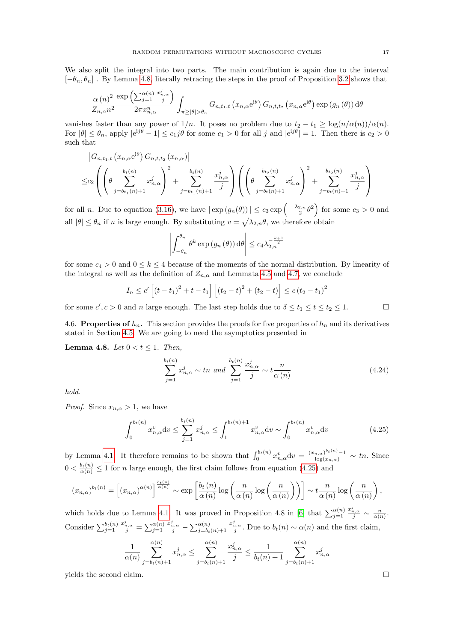We also split the integral into two parts. The main contribution is again due to the interval  $[-\theta_n, \theta_n]$ . By Lemma [4.8,](#page-16-1) literally retracing the steps in the proof of Proposition [3.2](#page-6-8) shows that

$$
\frac{\alpha(n)^2}{Z_{n,\alpha}n^2} \frac{\exp\left(\sum_{j=1}^{\alpha(n)} \frac{x_{n,\alpha}^j}{j}\right)}{2\pi x_{n,\alpha}^n} \int_{\pi \geq |\theta| > \theta_n} G_{n,t_1,t}\left(x_{n,\alpha} e^{i\theta}\right) G_{n,t,t_2}\left(x_{n,\alpha} e^{i\theta}\right) \exp\left(g_n\left(\theta\right)\right) d\theta
$$

vanishes faster than any power of  $1/n$ . It poses no problem due to  $t_2 - t_1 \geq \log(n/\alpha(n))/\alpha(n)$ . For  $|\theta| \leq \theta_n$ , apply  $|e^{i j \theta} - 1| \leq c_1 j \theta$  for some  $c_1 > 0$  for all j and  $|e^{i j \theta}| = 1$ . Then there is  $c_2 > 0$ such that

$$
\begin{aligned}\n& \left| G_{n,t_1,t} \left( x_{n,\alpha} e^{i\theta} \right) G_{n,t,t_2} \left( x_{n,\alpha} \right) \right| \\
& \leq c_2 \left( \left( \theta \sum_{j=b_{t_1}(n)+1}^{b_t(n)} x_{n,\alpha}^j \right)^2 + \sum_{j=b_{t_1}(n)+1}^{b_t(n)} \frac{x_{n,\alpha}^j}{j} \right) \left( \left( \theta \sum_{j=b_t(n)+1}^{b_{t_2}(n)} x_{n,\alpha}^j \right)^2 + \sum_{j=b_t(n)+1}^{b_{t_2}(n)} \frac{x_{n,\alpha}^j}{j} \right)\n\end{aligned}
$$

for all *n*. Due to equation [\(3.16\)](#page-7-0), we have  $|\exp(g_n(\theta))| \le c_3 \exp\left(-\frac{\lambda_{2,n}}{2} \theta^2\right)$  for some  $c_3 > 0$  and all  $|\theta| \leq \theta_n$  if n is large enough. By substituting  $v = \sqrt{\lambda_{2,n}}\theta$ , we therefore obtain

$$
\left| \int_{-\theta_n}^{\theta_n} \theta^k \exp\left(g_n\left(\theta\right)\right) d\theta \right| \leq c_4 \lambda_{2,n}^{-\frac{k+1}{2}}
$$

for some  $c_4 > 0$  and  $0 \leq k \leq 4$  because of the moments of the normal distribution. By linearity of the integral as well as the definition of  $Z_{n,\alpha}$  and Lemmata [4.5](#page-13-0) and [4.7,](#page-14-2) we conclude

$$
I_n \leq c' \left[ (t - t_1)^2 + t - t_1 \right] \left[ (t_2 - t)^2 + (t_2 - t) \right] \leq c (t_2 - t_1)^2
$$

for some  $c', c > 0$  and n large enough. The last step holds due to  $\delta \le t_1 \le t \le t_2 \le 1$ .

<span id="page-16-0"></span>4.6. Properties of  $h_n$ . This section provides the proofs for five properties of  $h_n$  and its derivatives stated in Section [4.5.](#page-12-4) We are going to need the asymptotics presented in

<span id="page-16-1"></span>Lemma 4.8. Let  $0 < t \leq 1$ . Then,

$$
\sum_{j=1}^{b_t(n)} x_{n,\alpha}^j \sim tn \ \text{and} \sum_{j=1}^{b_t(n)} \frac{x_{n,\alpha}^j}{j} \sim t \frac{n}{\alpha(n)} \tag{4.24}
$$

hold.

*Proof.* Since  $x_{n,\alpha} > 1$ , we have

$$
\int_0^{b_t(n)} x_{n,\alpha}^v dv \le \sum_{j=1}^{b_t(n)} x_{n,\alpha}^j \le \int_1^{b_t(n)+1} x_{n,\alpha}^v dv \sim \int_0^{b_t(n)} x_{n,\alpha}^v dv \tag{4.25}
$$

by Lemma [4.1.](#page-8-4) It therefore remains to be shown that  $\int_0^{b_t(n)} x_{n,\alpha}^v dv = \frac{(x_{n,\alpha})^{b_t(n)} - 1}{\log(x_{n,\alpha})} \sim tn$ . Since  $0 < \frac{b_t(n)}{\alpha(n)} \leq 1$  for *n* large enough, the first claim follows from equation [\(4.25\)](#page-16-2) and

$$
(x_{n,\alpha})^{b_t(n)} = \left[ (x_{n,\alpha})^{\alpha(n)} \right]^{\frac{b_t(n)}{\alpha(n)}} \sim \exp\left[ \frac{b_t(n)}{\alpha(n)} \log\left( \frac{n}{\alpha(n)} \log\left( \frac{n}{\alpha(n)} \right) \right) \right] \sim t \frac{n}{\alpha(n)} \log\left( \frac{n}{\alpha(n)} \right),
$$

which holds due to Lemma [4.1.](#page-8-4) It was proved in Proposition 4.8 in [\[6\]](#page-18-17) that  $\sum_{j=1}^{\alpha(n)}$  $rac{x_{n,\alpha}^j}{j} \sim \frac{n}{\alpha(n)}.$ Consider  $\sum_{j=1}^{b_t(n)}$  $rac{x_{n,\alpha}^j}{j} = \sum_{j=1}^{\alpha(n)}$  $\frac{x_{n,\alpha}^j}{j}-\sum_{j=b_t(n)+1}^{\alpha(n)}$  $\frac{x_{n,\alpha}^j}{j}$ . Due to  $b_t(n) \sim \alpha(n)$  and the first claim,

$$
\frac{1}{\alpha(n)} \sum_{j=b_t(n)+1}^{\alpha(n)} x_{n,\alpha}^j \le \sum_{j=b_t(n)+1}^{\alpha(n)} \frac{x_{n,\alpha}^j}{j} \le \frac{1}{b_t(n)+1} \sum_{j=b_t(n)+1}^{\alpha(n)} x_{n,\alpha}^j
$$

yields the second claim.

<span id="page-16-2"></span>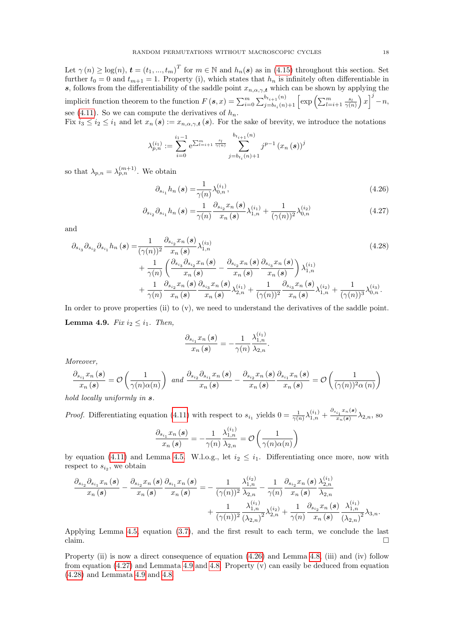Let  $\gamma(n) \geq \log(n)$ ,  $\mathbf{t} = (t_1, ..., t_m)^T$  for  $m \in \mathbb{N}$  and  $h_n(\mathbf{s})$  as in [\(4.15\)](#page-13-4) throughout this section. Set further  $t_0 = 0$  and  $t_{m+1} = 1$ . Property (i), which states that  $h_n$  is infinitely often differentiable in s, follows from the differentiability of the saddle point  $x_{n,\alpha,\gamma,t}$  which can be shown by applying the implicit function theorem to the function  $F(s, x) = \sum_{i=0}^{m} \sum_{j=b_{t_i}(n)+1}^{b_{t_{i+1}}(n)} \left[ exp \left( \sum_{l=i+1}^{m} \frac{s_l}{\gamma(n)} \right) x \right]^j - n$ , see [\(4.11\)](#page-12-1). So we can compute the derivatives of  $h_n$ .

Fix  $i_3 \leq i_2 \leq i_1$  and let  $x_n(s) := x_{n,\alpha,\gamma,t}(s)$ . For the sake of brevity, we introduce the notations

$$
\lambda_{p,n}^{(i_1)} := \sum_{i=0}^{i_1-1} e^{\sum_{l=i+1}^m \frac{s_l}{\gamma(n)}} \sum_{j=b_{t_i}(n)+1}^{b_{t_{i+1}(n)}} j^{p-1} (x_n(s))^{j}
$$

so that  $\lambda_{p,n} = \lambda_{p,n}^{(m+1)}$ . We obtain

<span id="page-17-1"></span><span id="page-17-0"></span>
$$
\partial_{s_{i_1}} h_n(s) = \frac{1}{\gamma(n)} \lambda_{0,n}^{(i_1)},\tag{4.26}
$$

$$
\partial_{s_{i_2}} \partial_{s_{i_1}} h_n(\mathbf{s}) = \frac{1}{\gamma(n)} \frac{\partial_{s_{i_2}} x_n(\mathbf{s})}{x_n(\mathbf{s})} \lambda_{1,n}^{(i_1)} + \frac{1}{(\gamma(n))^2} \lambda_{0,n}^{(i_2)} \tag{4.27}
$$

and

$$
\partial_{s_{i_3}} \partial_{s_{i_2}} \partial_{s_{i_1}} h_n(\mathbf{s}) = \frac{1}{(\gamma(n))^2} \frac{\partial_{s_{i_2}} x_n(\mathbf{s})}{x_n(\mathbf{s})} \lambda_{1,n}^{(i_3)} + \frac{1}{\gamma(n)} \left( \frac{\partial_{s_{i_3}} \partial_{s_{i_2}} x_n(\mathbf{s})}{x_n(\mathbf{s})} - \frac{\partial_{s_{i_2}} x_n(\mathbf{s})}{x_n(\mathbf{s})} \frac{\partial_{s_{i_3}} x_n(\mathbf{s})}{x_n(\mathbf{s})} \right) \lambda_{1,n}^{(i_1)} + \frac{1}{\gamma(n)} \frac{\partial_{s_{i_2}} x_n(\mathbf{s})}{x_n(\mathbf{s})} \frac{\partial_{s_{i_3}} x_n(\mathbf{s})}{x_n(\mathbf{s})} \lambda_{2,n}^{(i_1)} + \frac{1}{(\gamma(n))^2} \frac{\partial_{s_{i_3}} x_n(\mathbf{s})}{x_n(\mathbf{s})} \lambda_{1,n}^{(i_2)} + \frac{1}{(\gamma(n))^3} \lambda_{0,n}^{(i_3)}.
$$
\n(4.28)

<span id="page-17-2"></span>In order to prove properties (ii) to (v), we need to understand the derivatives of the saddle point. **Lemma 4.9.** Fix  $i_2 \leq i_1$ . Then,

<span id="page-17-3"></span>
$$
\frac{\partial_{s_{i_1}} x_n(\boldsymbol{s})}{x_n(\boldsymbol{s})} = -\frac{1}{\gamma(n)} \frac{\lambda_{1,n}^{(i_1)}}{\lambda_{2,n}}.
$$

Moreover,

$$
\frac{\partial_{s_{i_1}} x_n(\mathbf{s})}{x_n(\mathbf{s})} = \mathcal{O}\left(\frac{1}{\gamma(n)\alpha(n)}\right) \text{ and } \frac{\partial_{s_{i_2}} \partial_{s_{i_1}} x_n(\mathbf{s})}{x_n(\mathbf{s})} - \frac{\partial_{s_{i_2}} x_n(\mathbf{s})}{x_n(\mathbf{s})} \frac{\partial_{s_{i_1}} x_n(\mathbf{s})}{x_n(\mathbf{s})} = \mathcal{O}\left(\frac{1}{(\gamma(n))^2 \alpha(n)}\right)
$$

hold locally uniformly in  $s$ .

*Proof.* Differentiating equation [\(4.11\)](#page-12-1) with respect to  $s_{i_1}$  yields  $0 = \frac{1}{\gamma(n)} \lambda_{1,n}^{(i_1)} + \frac{\partial_{s_{i_1}} x_n(s)}{\partial_{s_n}}$  $rac{i_1}{x_n(s)} \lambda_{2,n}$ , so

$$
\frac{\partial_{s_{i_1}} x_n(s)}{x_n(s)} = -\frac{1}{\gamma(n)} \frac{\lambda_{1,n}^{(i_1)}}{\lambda_{2,n}} = \mathcal{O}\left(\frac{1}{\gamma(n)\alpha(n)}\right)
$$

by equation [\(4.11\)](#page-12-1) and Lemma [4.5.](#page-13-0) W.l.o.g., let  $i_2 \leq i_1$ . Differentiating once more, now with respect to  $s_{i_2}$ , we obtain

$$
\begin{split} \frac{\partial_{s_{i_2}}\partial_{s_{i_1}} x_n\left(\bm{s}\right)}{x_n\left(\bm{s}\right)}-\frac{\partial_{s_{i_2}} x_n\left(\bm{s}\right)}{x_n\left(\bm{s}\right)}\frac{\partial_{s_{i_1}} x_n\left(\bm{s}\right)}{x_n\left(\bm{s}\right)}=-\frac{1}{(\gamma(n))^2}\frac{\lambda_{1,n}^{(i_2)}}{\lambda_{2,n}}-\frac{1}{\gamma(n)}\frac{\partial_{s_{i_2}} x_n\left(\bm{s}\right)}{x_n\left(\bm{s}\right)}\frac{\lambda_{2,n}^{(i_1)}}{\lambda_{2,n}}\\ &+\frac{1}{(\gamma(n))^2}\frac{\lambda_{1,n}^{(i_1)}}{(\lambda_{2,n})^2}\lambda_{2,n}^{(i_2)}+\frac{1}{\gamma(n)}\frac{\partial_{s_{i_2}} x_n\left(\bm{s}\right)}{x_n\left(\bm{s}\right)}\frac{\lambda_{1,n}^{(i_1)}}{(\lambda_{2,n})^2}\lambda_{3,n}.\end{split}
$$

Applying Lemma [4.5,](#page-13-0) equation [\(3.7\)](#page-6-3), and the first result to each term, we conclude the last  $\Box$ claim.

Property (ii) is now a direct consequence of equation [\(4.26\)](#page-17-0) and Lemma [4.8,](#page-16-1) (iii) and (iv) follow from equation  $(4.27)$  and Lemmata [4.9](#page-17-2) and [4.8.](#page-16-1) Property (v) can easily be deduced from equation [\(4.28\)](#page-17-3) and Lemmata [4.9](#page-17-2) and [4.8.](#page-16-1)